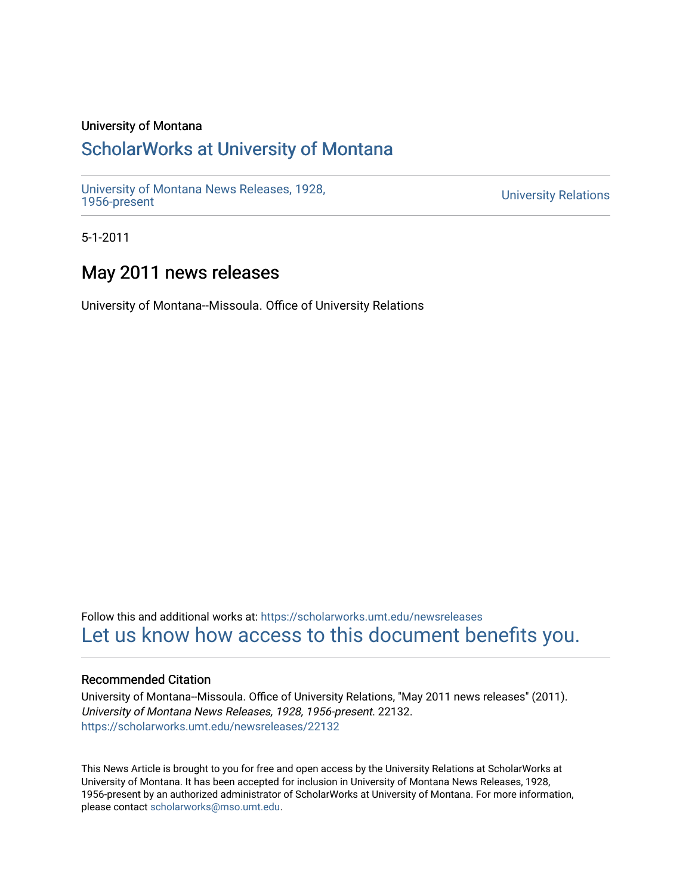# University of Montana

# [ScholarWorks at University of Montana](https://scholarworks.umt.edu/)

[University of Montana News Releases, 1928,](https://scholarworks.umt.edu/newsreleases) 

**University Relations** 

5-1-2011

# May 2011 news releases

University of Montana--Missoula. Office of University Relations

Follow this and additional works at: [https://scholarworks.umt.edu/newsreleases](https://scholarworks.umt.edu/newsreleases?utm_source=scholarworks.umt.edu%2Fnewsreleases%2F22132&utm_medium=PDF&utm_campaign=PDFCoverPages) [Let us know how access to this document benefits you.](https://goo.gl/forms/s2rGfXOLzz71qgsB2) 

# Recommended Citation

University of Montana--Missoula. Office of University Relations, "May 2011 news releases" (2011). University of Montana News Releases, 1928, 1956-present. 22132. [https://scholarworks.umt.edu/newsreleases/22132](https://scholarworks.umt.edu/newsreleases/22132?utm_source=scholarworks.umt.edu%2Fnewsreleases%2F22132&utm_medium=PDF&utm_campaign=PDFCoverPages) 

This News Article is brought to you for free and open access by the University Relations at ScholarWorks at University of Montana. It has been accepted for inclusion in University of Montana News Releases, 1928, 1956-present by an authorized administrator of ScholarWorks at University of Montana. For more information, please contact [scholarworks@mso.umt.edu.](mailto:scholarworks@mso.umt.edu)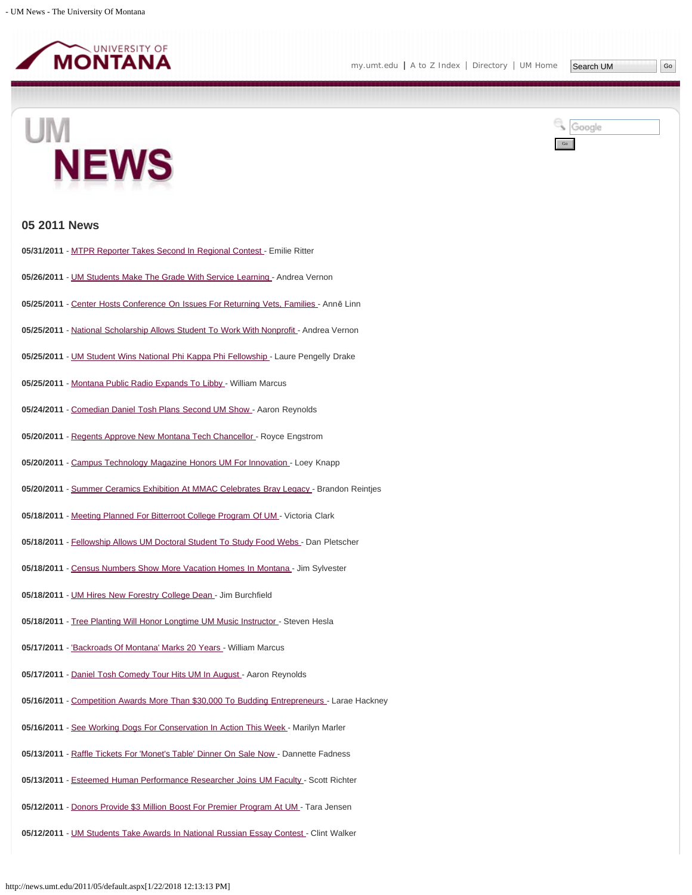





# **05 2011 News**

- 05/31/2011 - [MTPR Reporter Takes Second In Regional Contest -](#page-3-0) Emilie Ritter
- **05/26/2011** - [UM Students Make The Grade With Service Learning -](#page-4-0) Andrea Vernon
- 05/25/2011 - [Center Hosts Conference On Issues For Returning Vets, Families](#page-5-0)  Annē Linn
- 05/25/2011 - [National Scholarship Allows Student To Work With Nonprofit](#page-7-0)  Andrea Vernon
- 05/25/2011 - [UM Student Wins National Phi Kappa Phi Fellowship -](#page-8-0) Laure Pengelly Drake
- 05/25/2011 - [Montana Public Radio Expands To Libby](#page-9-0)  William Marcus
- 05/24/2011 - [Comedian Daniel Tosh Plans Second UM Show](#page-10-0)  Aaron Reynolds
- 05/20/2011 - [Regents Approve New Montana Tech Chancellor](#page-11-0)  Royce Engstrom
- **05/20/2011** - [Campus Technology Magazine Honors UM For Innovation -](#page-12-0) Loey Knapp
- **05/20/2011** - [Summer Ceramics Exhibition At MMAC Celebrates Bray Legacy](#page-14-0)  Brandon Reintjes
- 05/18/2011 - [Meeting Planned For Bitterroot College Program Of UM](#page-16-0)  Victoria Clark
- 05/18/2011 - [Fellowship Allows UM Doctoral Student To Study Food Webs](#page-17-0)  Dan Pletscher
- 05/18/2011 - [Census Numbers Show More Vacation Homes In Montana](#page-18-0)  Jim Sylvester
- 05/18/2011 - [UM Hires New Forestry College Dean -](#page-20-0) Jim Burchfield
- 05/18/2011 - [Tree Planting Will Honor Longtime UM Music Instructor -](#page-22-0) Steven Hesla
- 05/17/2011 - ['Backroads Of Montana' Marks 20 Years](#page-23-0)  William Marcus
- 05/17/2011 - [Daniel Tosh Comedy Tour Hits UM In August](#page-25-0)  Aaron Reynolds
- 05/16/2011 - [Competition Awards More Than \\$30,000 To Budding Entrepreneurs](#page-26-0)  Larae Hackney
- **05/16/2011** - [See Working Dogs For Conservation In Action This Week -](#page-28-0) Marilyn Marler
- **05/13/2011** - [Raffle Tickets For 'Monet's Table' Dinner On Sale Now](#page-29-0)  Dannette Fadness
- **05/13/2011** - [Esteemed Human Performance Researcher Joins UM Faculty -](#page-30-0) Scott Richter
- **05/12/2011** - [Donors Provide \\$3 Million Boost For Premier Program At UM -](#page-32-0) Tara Jensen
- 05/12/2011 - [UM Students Take Awards In National Russian Essay Contest -](#page-33-0) Clint Walker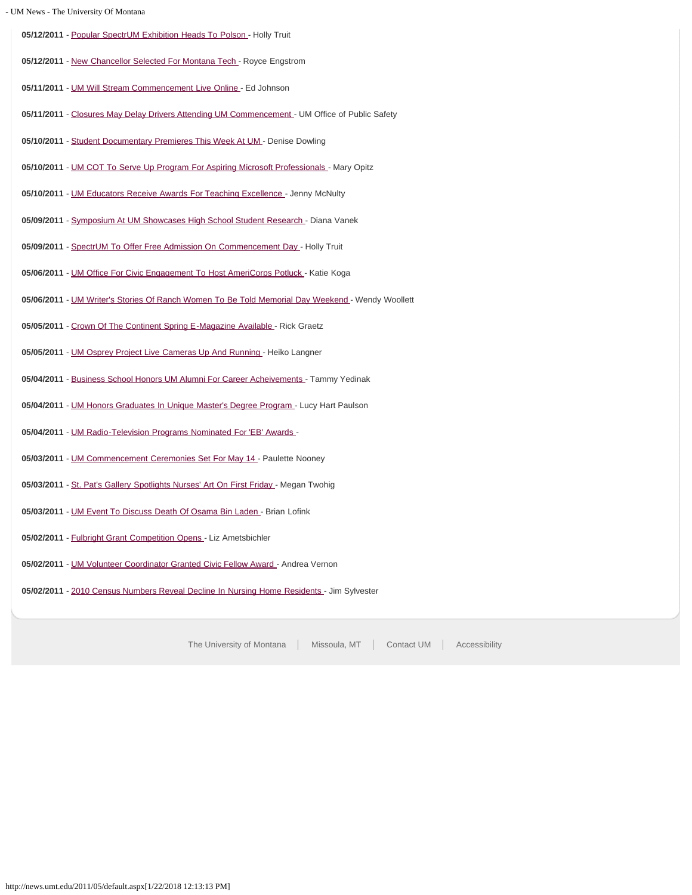- UM News - The University Of Montana 05/12/2011 - [Popular SpectrUM Exhibition Heads To Polson -](#page-34-0) Holly Truit 05/12/2011 - [New Chancellor Selected For Montana Tech -](#page-35-0) Royce Engstrom 05/11/2011 - [UM Will Stream Commencement Live Online -](#page-37-0) Ed Johnson 05/11/2011 - [Closures May Delay Drivers Attending UM Commencement](#page-38-0) - UM Office of Public Safety 05/10/2011 - Student Documentary Premieres This Week At UM<sub>-</sub> Denise Dowling 05/10/2011 - [UM COT To Serve Up Program For Aspiring Microsoft Professionals](#page-40-0) - Mary Opitz 05/10/2011 - [UM Educators Receive Awards For Teaching Excellence](#page-41-0) - Jenny McNulty **05/09/2011** - [Symposium At UM Showcases High School Student Research](#page-42-0) - Diana Vanek 05/09/2011 - [SpectrUM To Offer Free Admission On Commencement Day -](#page-43-0) Holly Truit **05/06/2011** - [UM Office For Civic Engagement To Host AmeriCorps Potluck](#page-44-0) - Katie Koga 05/06/2011 - [UM Writer's Stories Of Ranch Women To Be Told Memorial Day Weekend](#page-45-0) - Wendy Woollett **05/05/2011** - [Crown Of The Continent Spring E-Magazine Available -](#page-46-0) Rick Graetz **05/05/2011** - [UM Osprey Project Live Cameras Up And Running -](#page-47-0) Heiko Langner 05/04/2011 - [Business School Honors UM Alumni For Career Acheivements](#page-48-0) - Tammy Yedinak **05/04/2011** - [UM Honors Graduates In Unique Master's Degree Program -](#page-50-0) Lucy Hart Paulson **05/04/2011** - [UM Radio-Television Programs Nominated For 'EB' Awards](#page-51-0) - **05/03/2011** - [UM Commencement Ceremonies Set For May 14](#page-52-0) - Paulette Nooney 05/03/2011 - [St. Pat's Gallery Spotlights Nurses' Art On First Friday -](#page-53-0) Megan Twohig 05/03/2011 - [UM Event To Discuss Death Of Osama Bin Laden -](#page-54-0) Brian Lofink **05/02/2011** - [Fulbright Grant Competition Opens -](#page-55-0) Liz Ametsbichler 05/02/2011 - [UM Volunteer Coordinator Granted Civic Fellow Award -](#page-56-0) Andrea Vernon 05/02/2011 - [2010 Census Numbers Reveal Decline In Nursing Home Residents -](#page-57-0) Jim Sylvester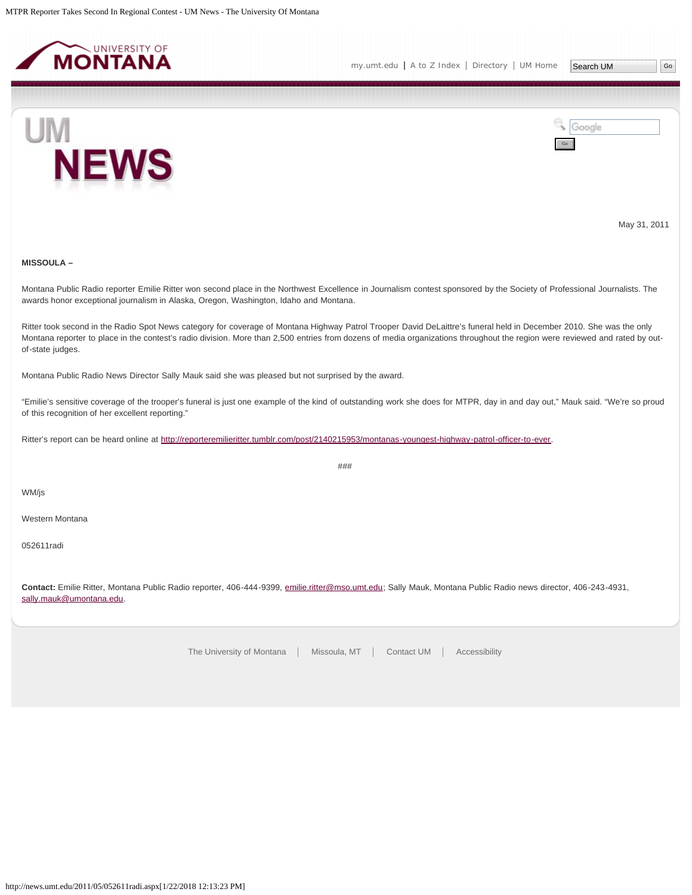<span id="page-3-0"></span>



May 31, 2011

# **MISSOULA –**

Montana Public Radio reporter Emilie Ritter won second place in the Northwest Excellence in Journalism contest sponsored by the Society of Professional Journalists. The awards honor exceptional journalism in Alaska, Oregon, Washington, Idaho and Montana.

Ritter took second in the Radio Spot News category for coverage of Montana Highway Patrol Trooper David DeLaittre's funeral held in December 2010. She was the only Montana reporter to place in the contest's radio division. More than 2,500 entries from dozens of media organizations throughout the region were reviewed and rated by outof-state judges.

Montana Public Radio News Director Sally Mauk said she was pleased but not surprised by the award.

"Emilie's sensitive coverage of the trooper's funeral is just one example of the kind of outstanding work she does for MTPR, day in and day out," Mauk said. "We're so proud of this recognition of her excellent reporting."

Ritter's report can be heard online at [http://reporteremilieritter.tumblr.com/post/2140215953/montanas-youngest-highway-patrol-officer-to-ever.](http://reporteremilieritter.tumblr.com/post/2140215953/montanas-youngest-highway-patrol-officer-to-ever)

###

WM/js

Western Montana

052611radi

**Contact:** Emilie Ritter, Montana Public Radio reporter, 406-444-9399, [emilie.ritter@mso.umt.edu](mailto:emilie.ritter@mso.umt.edu); Sally Mauk, Montana Public Radio news director, 406-243-4931, [sally.mauk@umontana.edu](mailto:sally.mauk@umontana.edu).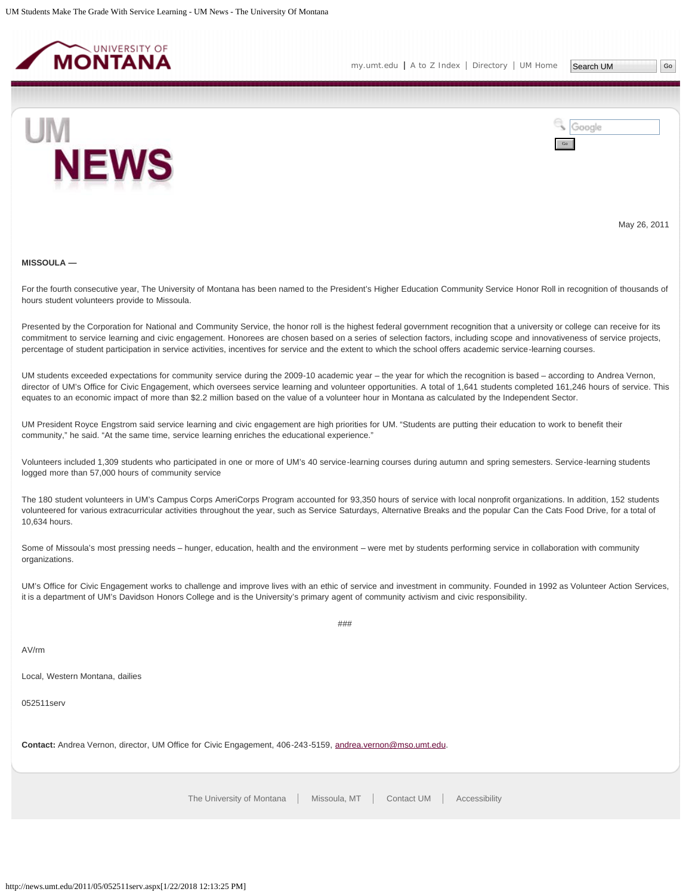<span id="page-4-0"></span>



May 26, 2011

#### **MISSOULA —**

For the fourth consecutive year, The University of Montana has been named to the President's Higher Education Community Service Honor Roll in recognition of thousands of hours student volunteers provide to Missoula.

Presented by the Corporation for National and Community Service, the honor roll is the highest federal government recognition that a university or college can receive for its commitment to service learning and civic engagement. Honorees are chosen based on a series of selection factors, including scope and innovativeness of service projects, percentage of student participation in service activities, incentives for service and the extent to which the school offers academic service-learning courses.

UM students exceeded expectations for community service during the 2009-10 academic year – the year for which the recognition is based – according to Andrea Vernon, director of UM's Office for Civic Engagement, which oversees service learning and volunteer opportunities. A total of 1,641 students completed 161,246 hours of service. This equates to an economic impact of more than \$2.2 million based on the value of a volunteer hour in Montana as calculated by the Independent Sector.

UM President Royce Engstrom said service learning and civic engagement are high priorities for UM. "Students are putting their education to work to benefit their community," he said. "At the same time, service learning enriches the educational experience."

Volunteers included 1,309 students who participated in one or more of UM's 40 service-learning courses during autumn and spring semesters. Service-learning students logged more than 57,000 hours of community service

The 180 student volunteers in UM's Campus Corps AmeriCorps Program accounted for 93,350 hours of service with local nonprofit organizations. In addition, 152 students volunteered for various extracurricular activities throughout the year, such as Service Saturdays, Alternative Breaks and the popular Can the Cats Food Drive, for a total of 10,634 hours.

Some of Missoula's most pressing needs – hunger, education, health and the environment – were met by students performing service in collaboration with community organizations.

UM's Office for Civic Engagement works to challenge and improve lives with an ethic of service and investment in community. Founded in 1992 as Volunteer Action Services, it is a department of UM's Davidson Honors College and is the University's primary agent of community activism and civic responsibility.

###

AV/rm

Local, Western Montana, dailies

052511serv

**Contact:** Andrea Vernon, director, UM Office for Civic Engagement, 406-243-5159, [andrea.vernon@mso.umt.edu.](mailto:andrea.vernon@mso.umt.edu)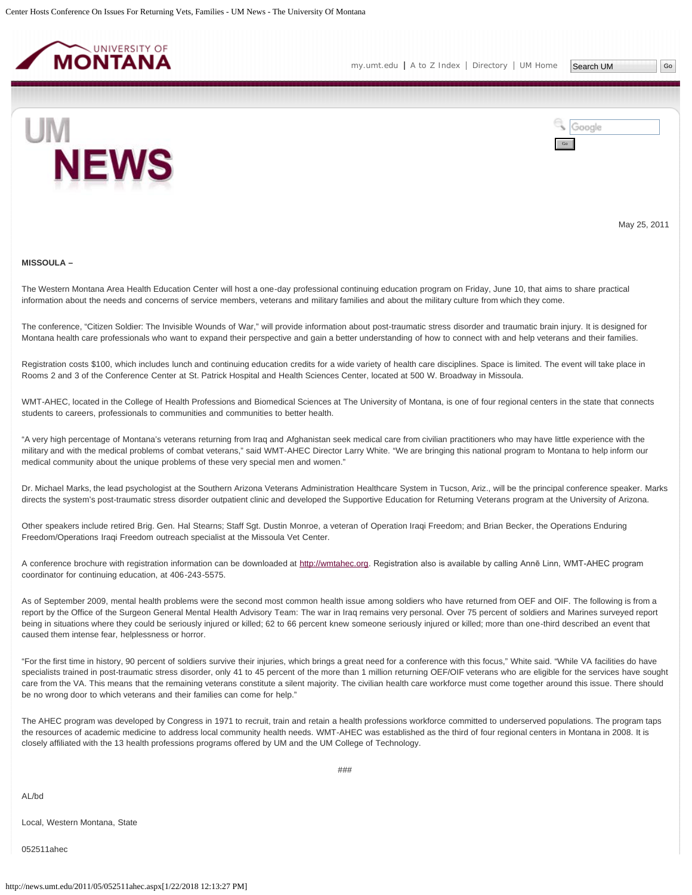<span id="page-5-0"></span>



May 25, 2011

#### **MISSOULA –**

The Western Montana Area Health Education Center will host a one-day professional continuing education program on Friday, June 10, that aims to share practical information about the needs and concerns of service members, veterans and military families and about the military culture from which they come.

The conference, "Citizen Soldier: The Invisible Wounds of War," will provide information about post-traumatic stress disorder and traumatic brain injury. It is designed for Montana health care professionals who want to expand their perspective and gain a better understanding of how to connect with and help veterans and their families.

Registration costs \$100, which includes lunch and continuing education credits for a wide variety of health care disciplines. Space is limited. The event will take place in Rooms 2 and 3 of the Conference Center at St. Patrick Hospital and Health Sciences Center, located at 500 W. Broadway in Missoula.

WMT-AHEC, located in the College of Health Professions and Biomedical Sciences at The University of Montana, is one of four regional centers in the state that connects students to careers, professionals to communities and communities to better health.

"A very high percentage of Montana's veterans returning from Iraq and Afghanistan seek medical care from civilian practitioners who may have little experience with the military and with the medical problems of combat veterans," said WMT-AHEC Director Larry White. "We are bringing this national program to Montana to help inform our medical community about the unique problems of these very special men and women."

Dr. Michael Marks, the lead psychologist at the Southern Arizona Veterans Administration Healthcare System in Tucson, Ariz., will be the principal conference speaker. Marks directs the system's post-traumatic stress disorder outpatient clinic and developed the Supportive Education for Returning Veterans program at the University of Arizona.

Other speakers include retired Brig. Gen. Hal Stearns; Staff Sgt. Dustin Monroe, a veteran of Operation Iraqi Freedom; and Brian Becker, the Operations Enduring Freedom/Operations Iraqi Freedom outreach specialist at the Missoula Vet Center.

A conference brochure with registration information can be downloaded at [http://wmtahec.org](http://wmtahec.org/). Registration also is available by calling Annē Linn, WMT-AHEC program coordinator for continuing education, at 406-243-5575.

As of September 2009, mental health problems were the second most common health issue among soldiers who have returned from OEF and OIF. The following is from a report by the Office of the Surgeon General Mental Health Advisory Team: The war in Iraq remains very personal. Over 75 percent of soldiers and Marines surveyed report being in situations where they could be seriously injured or killed; 62 to 66 percent knew someone seriously injured or killed; more than one-third described an event that caused them intense fear, helplessness or horror.

"For the first time in history, 90 percent of soldiers survive their injuries, which brings a great need for a conference with this focus," White said. "While VA facilities do have specialists trained in post-traumatic stress disorder, only 41 to 45 percent of the more than 1 million returning OEF/OIF veterans who are eligible for the services have sought care from the VA. This means that the remaining veterans constitute a silent majority. The civilian health care workforce must come together around this issue. There should be no wrong door to which veterans and their families can come for help."

The AHEC program was developed by Congress in 1971 to recruit, train and retain a health professions workforce committed to underserved populations. The program taps the resources of academic medicine to address local community health needs. WMT-AHEC was established as the third of four regional centers in Montana in 2008. It is closely affiliated with the 13 health professions programs offered by UM and the UM College of Technology.

###

AL/bd

Local, Western Montana, State

052511ahec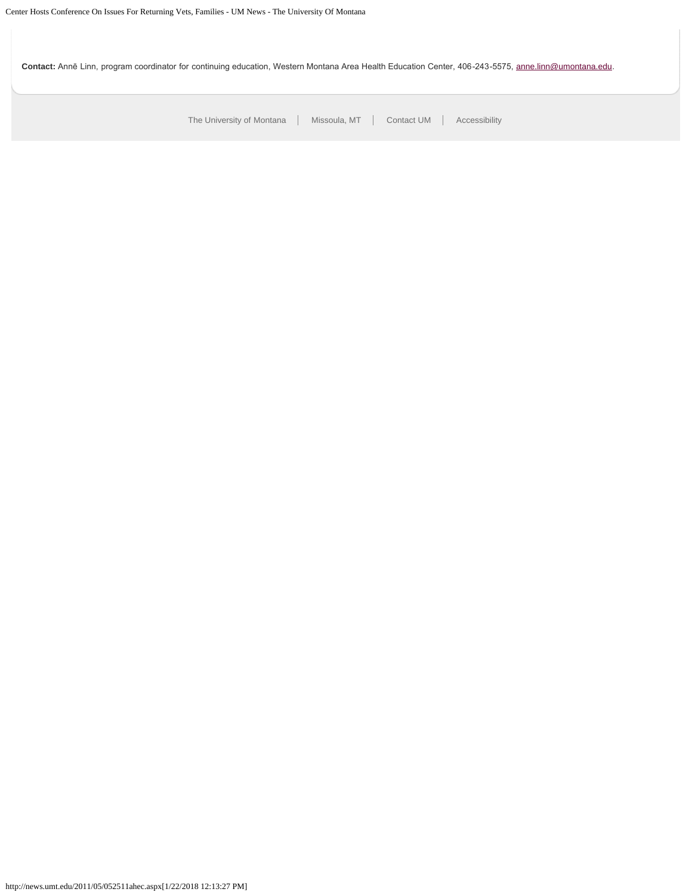**Contact:** Annē Linn, program coordinator for continuing education, Western Montana Area Health Education Center, 406-243-5575, [anne.linn@umontana.edu.](mailto:anne.linn@umontana.edu)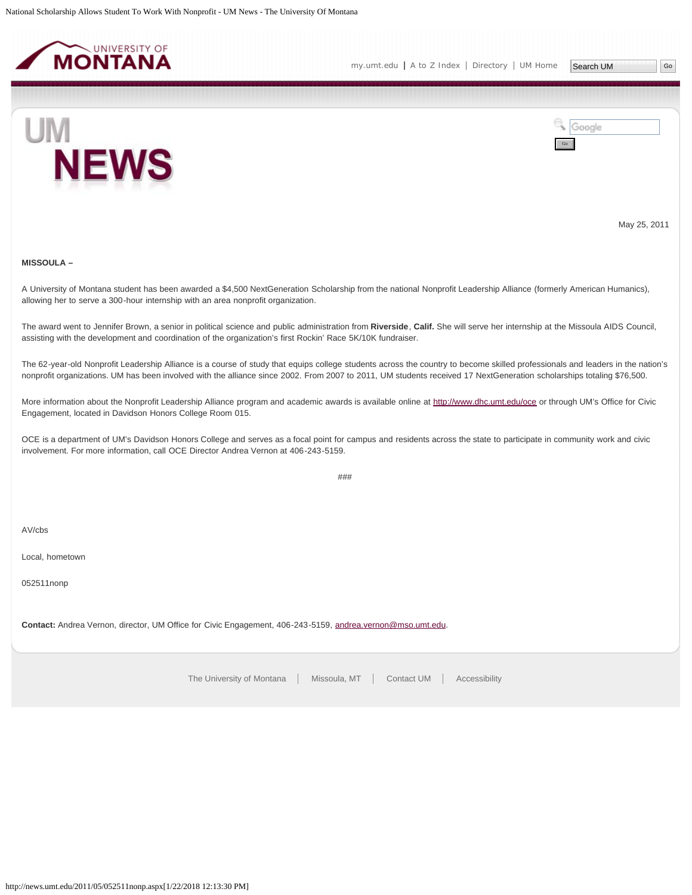<span id="page-7-0"></span>



May 25, 2011

# **MISSOULA –**

A University of Montana student has been awarded a \$4,500 NextGeneration Scholarship from the national Nonprofit Leadership Alliance (formerly American Humanics), allowing her to serve a 300-hour internship with an area nonprofit organization.

The award went to Jennifer Brown, a senior in political science and public administration from **Riverside**, **Calif.** She will serve her internship at the Missoula AIDS Council, assisting with the development and coordination of the organization's first Rockin' Race 5K/10K fundraiser.

The 62-year-old Nonprofit Leadership Alliance is a course of study that equips college students across the country to become skilled professionals and leaders in the nation's nonprofit organizations. UM has been involved with the alliance since 2002. From 2007 to 2011, UM students received 17 NextGeneration scholarships totaling \$76,500.

More information about the Nonprofit Leadership Alliance program and academic awards is available online at <http://www.dhc.umt.edu/oce>or through UM's Office for Civic Engagement, located in Davidson Honors College Room 015.

OCE is a department of UM's Davidson Honors College and serves as a focal point for campus and residents across the state to participate in community work and civic involvement. For more information, call OCE Director Andrea Vernon at 406-243-5159.

###

AV/cbs

Local, hometown

052511nonp

**Contact:** Andrea Vernon, director, UM Office for Civic Engagement, 406-243-5159, [andrea.vernon@mso.umt.edu.](mailto:andrea.vernon@mso.umt.edu)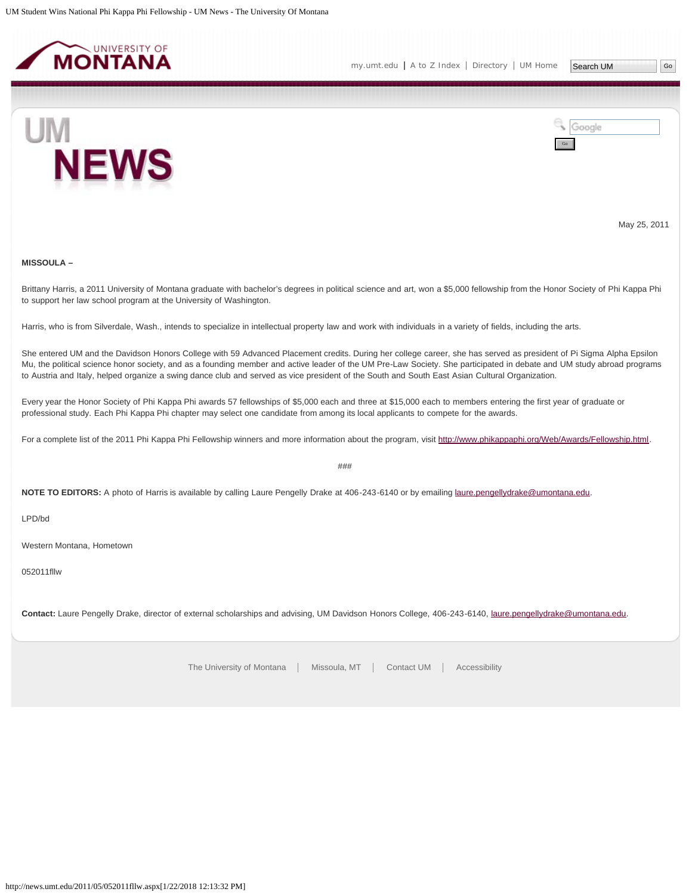<span id="page-8-0"></span>



May 25, 2011

# **MISSOULA –**

Brittany Harris, a 2011 University of Montana graduate with bachelor's degrees in political science and art, won a \$5,000 fellowship from the Honor Society of Phi Kappa Phi to support her law school program at the University of Washington.

Harris, who is from Silverdale, Wash., intends to specialize in intellectual property law and work with individuals in a variety of fields, including the arts.

She entered UM and the Davidson Honors College with 59 Advanced Placement credits. During her college career, she has served as president of Pi Sigma Alpha Epsilon Mu, the political science honor society, and as a founding member and active leader of the UM Pre-Law Society. She participated in debate and UM study abroad programs to Austria and Italy, helped organize a swing dance club and served as vice president of the South and South East Asian Cultural Organization.

Every year the Honor Society of Phi Kappa Phi awards 57 fellowships of \$5,000 each and three at \$15,000 each to members entering the first year of graduate or professional study. Each Phi Kappa Phi chapter may select one candidate from among its local applicants to compete for the awards.

For a complete list of the 2011 Phi Kappa Phi Fellowship winners and more information about the program, visit [http://www.phikappaphi.org/Web/Awards/Fellowship.html.](http://www.phikappaphi.org/Web/Awards/Fellowship.html)

###

NOTE TO EDITORS: A photo of Harris is available by calling Laure Pengelly Drake at 406-243-6140 or by emailing [laure.pengellydrake@umontana.edu.](mailto:laure.pengellydrake@umontana.edu)

LPD/bd

Western Montana, Hometown

052011fllw

**Contact:** Laure Pengelly Drake, director of external scholarships and advising, UM Davidson Honors College, 406-243-6140, [laure.pengellydrake@umontana.edu.](mailto:laure.pengellydrake@umontana.edu)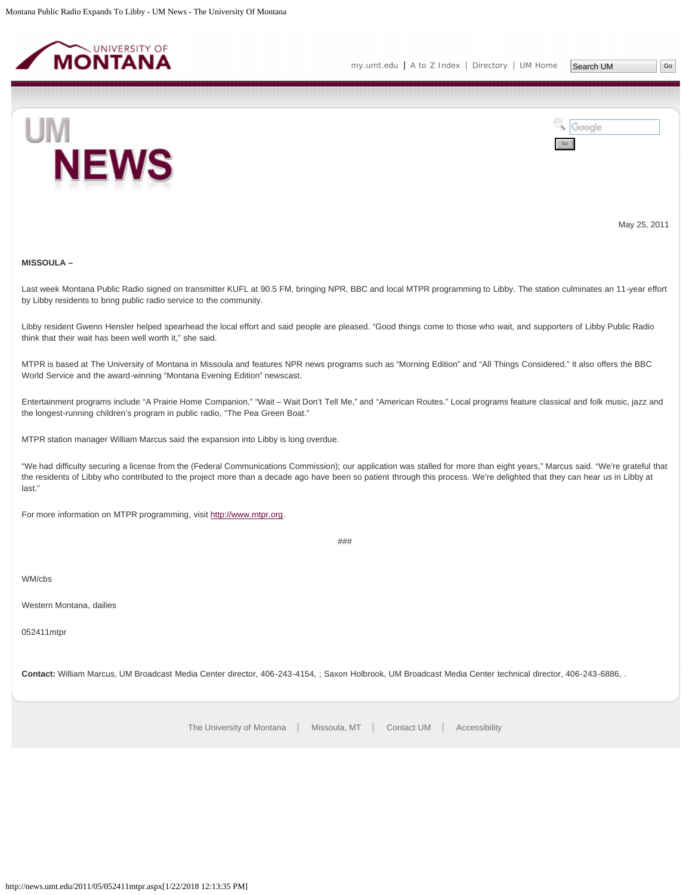<span id="page-9-0"></span>



May 25, 2011

# **MISSOULA –**

Last week Montana Public Radio signed on transmitter KUFL at 90.5 FM, bringing NPR, BBC and local MTPR programming to Libby. The station culminates an 11-year effort by Libby residents to bring public radio service to the community.

Libby resident Gwenn Hensler helped spearhead the local effort and said people are pleased. "Good things come to those who wait, and supporters of Libby Public Radio think that their wait has been well worth it," she said.

MTPR is based at The University of Montana in Missoula and features NPR news programs such as "Morning Edition" and "All Things Considered." It also offers the BBC World Service and the award-winning "Montana Evening Edition" newscast.

Entertainment programs include "A Prairie Home Companion," "Wait – Wait Don't Tell Me," and "American Routes." Local programs feature classical and folk music, jazz and the longest-running children's program in public radio, "The Pea Green Boat."

MTPR station manager William Marcus said the expansion into Libby is long overdue.

"We had difficulty securing a license from the (Federal Communications Commission); our application was stalled for more than eight years," Marcus said. "We're grateful that the residents of Libby who contributed to the project more than a decade ago have been so patient through this process. We're delighted that they can hear us in Libby at last."

For more information on MTPR programming, visit [http://www.mtpr.org](http://www.mtpr.org/).

###

WM/cbs

Western Montana, dailies

052411mtpr

**Contact:** William Marcus, UM Broadcast Media Center director, 406-243-4154, ; Saxon Holbrook, UM Broadcast Media Center technical director, 406-243-6886, .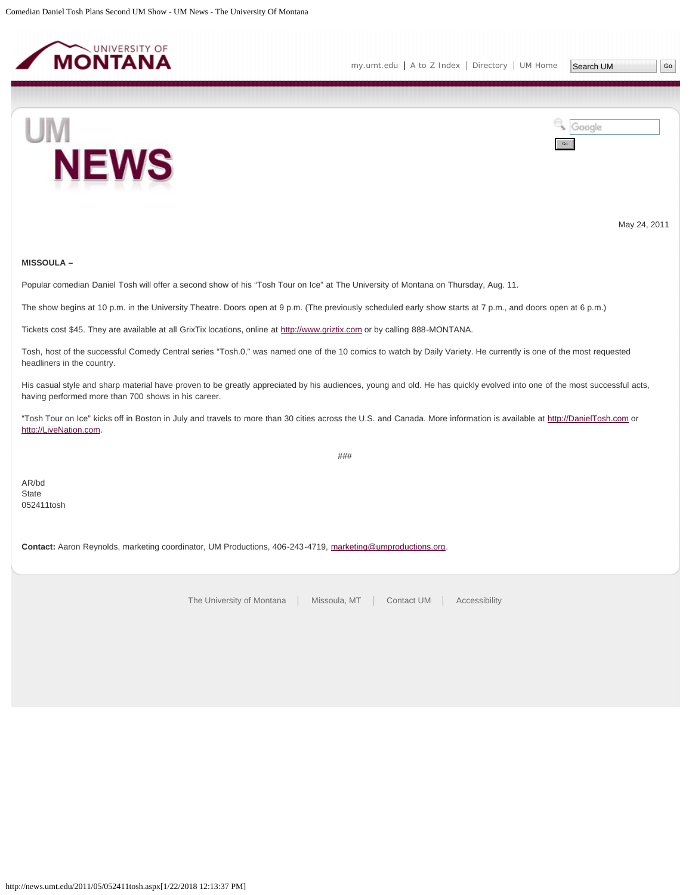<span id="page-10-0"></span>



May 24, 2011

# **MISSOULA –**

Popular comedian Daniel Tosh will offer a second show of his "Tosh Tour on Ice" at The University of Montana on Thursday, Aug. 11.

The show begins at 10 p.m. in the University Theatre. Doors open at 9 p.m. (The previously scheduled early show starts at 7 p.m., and doors open at 6 p.m.)

Tickets cost \$45. They are available at all GrixTix locations, online at [http://www.griztix.com](http://www.griztix.com/) or by calling 888-MONTANA.

Tosh, host of the successful Comedy Central series "Tosh.0," was named one of the 10 comics to watch by Daily Variety. He currently is one of the most requested headliners in the country.

His casual style and sharp material have proven to be greatly appreciated by his audiences, young and old. He has quickly evolved into one of the most successful acts, having performed more than 700 shows in his career.

"Tosh Tour on Ice" kicks off in Boston in July and travels to more than 30 cities across the U.S. and Canada. More information is available at [http://DanielTosh.com](http://danieltosh.com/) or [http://LiveNation.com.](http://livenation.com/)

###

AR/bd **State** 052411tosh

**Contact:** Aaron Reynolds, marketing coordinator, UM Productions, 406-243-4719, [marketing@umproductions.org.](mailto:marketing@umproductions.org)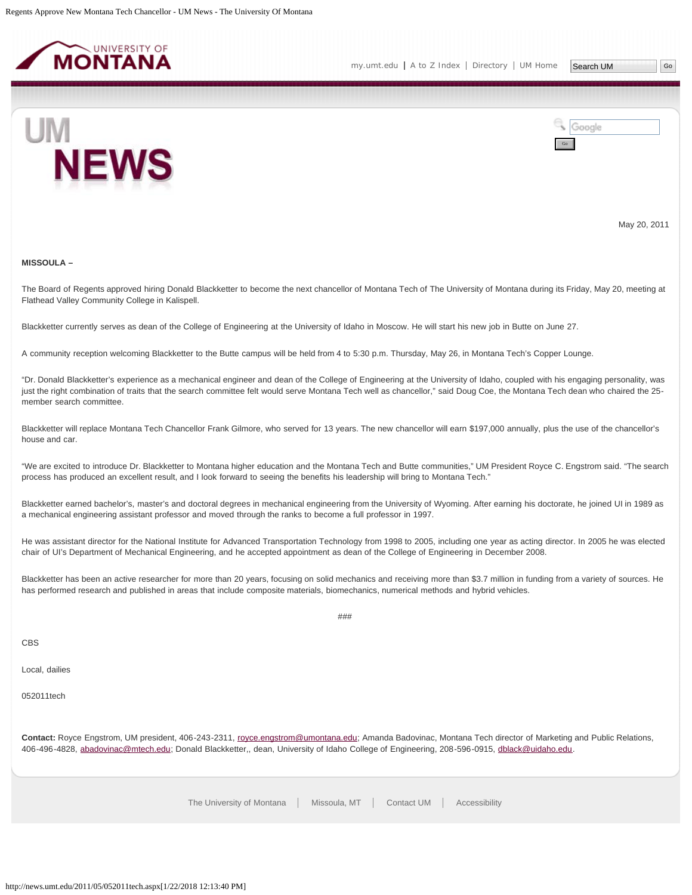<span id="page-11-0"></span>



May 20, 2011

#### **MISSOULA –**

The Board of Regents approved hiring Donald Blackketter to become the next chancellor of Montana Tech of The University of Montana during its Friday, May 20, meeting at Flathead Valley Community College in Kalispell.

Blackketter currently serves as dean of the College of Engineering at the University of Idaho in Moscow. He will start his new job in Butte on June 27.

A community reception welcoming Blackketter to the Butte campus will be held from 4 to 5:30 p.m. Thursday, May 26, in Montana Tech's Copper Lounge.

"Dr. Donald Blackketter's experience as a mechanical engineer and dean of the College of Engineering at the University of Idaho, coupled with his engaging personality, was just the right combination of traits that the search committee felt would serve Montana Tech well as chancellor," said Doug Coe, the Montana Tech dean who chaired the 25member search committee.

Blackketter will replace Montana Tech Chancellor Frank Gilmore, who served for 13 years. The new chancellor will earn \$197,000 annually, plus the use of the chancellor's house and car.

"We are excited to introduce Dr. Blackketter to Montana higher education and the Montana Tech and Butte communities," UM President Royce C. Engstrom said. "The search process has produced an excellent result, and I look forward to seeing the benefits his leadership will bring to Montana Tech."

Blackketter earned bachelor's, master's and doctoral degrees in mechanical engineering from the University of Wyoming. After earning his doctorate, he joined UI in 1989 as a mechanical engineering assistant professor and moved through the ranks to become a full professor in 1997.

He was assistant director for the National Institute for Advanced Transportation Technology from 1998 to 2005, including one year as acting director. In 2005 he was elected chair of UI's Department of Mechanical Engineering, and he accepted appointment as dean of the College of Engineering in December 2008.

Blackketter has been an active researcher for more than 20 years, focusing on solid mechanics and receiving more than \$3.7 million in funding from a variety of sources. He has performed research and published in areas that include composite materials, biomechanics, numerical methods and hybrid vehicles.

###

**CBS** 

Local, dailies

052011tech

**Contact:** Royce Engstrom, UM president, 406-243-2311, [royce.engstrom@umontana.edu](mailto:royce.engstrom@umontana.edu); Amanda Badovinac, Montana Tech director of Marketing and Public Relations, 406-496-4828, [abadovinac@mtech.edu](mailto:abadovinac@mtech.edu); Donald Blackketter,, dean, University of Idaho College of Engineering, 208-596-0915, [dblack@uidaho.edu.](mailto:dblack@uidaho.edu)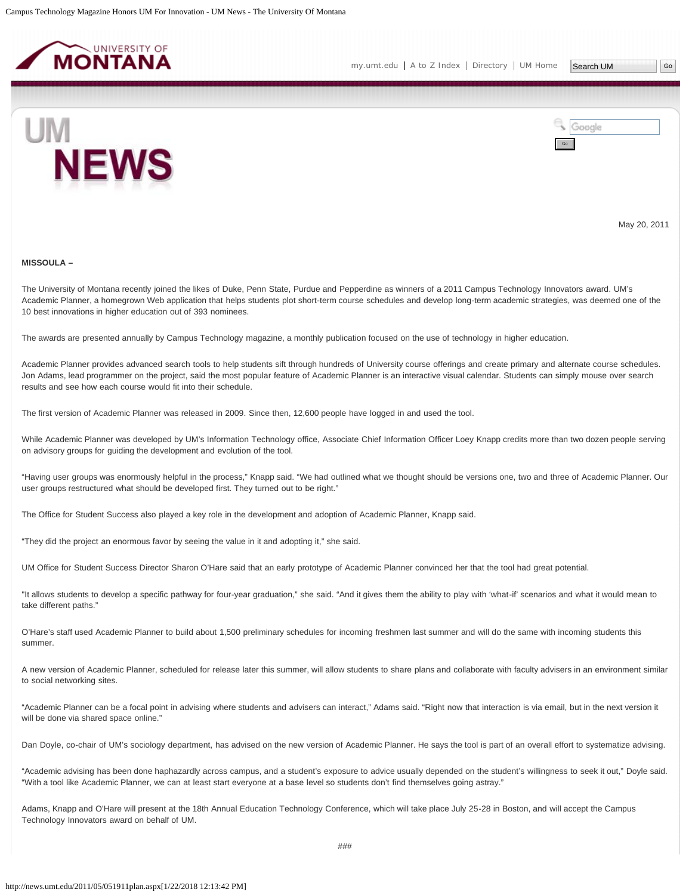<span id="page-12-0"></span>



May 20, 2011

#### **MISSOULA –**

The University of Montana recently joined the likes of Duke, Penn State, Purdue and Pepperdine as winners of a 2011 Campus Technology Innovators award. UM's Academic Planner, a homegrown Web application that helps students plot short-term course schedules and develop long-term academic strategies, was deemed one of the 10 best innovations in higher education out of 393 nominees.

The awards are presented annually by Campus Technology magazine, a monthly publication focused on the use of technology in higher education.

Academic Planner provides advanced search tools to help students sift through hundreds of University course offerings and create primary and alternate course schedules. Jon Adams, lead programmer on the project, said the most popular feature of Academic Planner is an interactive visual calendar. Students can simply mouse over search results and see how each course would fit into their schedule.

The first version of Academic Planner was released in 2009. Since then, 12,600 people have logged in and used the tool.

While Academic Planner was developed by UM's Information Technology office, Associate Chief Information Officer Loey Knapp credits more than two dozen people serving on advisory groups for guiding the development and evolution of the tool.

"Having user groups was enormously helpful in the process," Knapp said. "We had outlined what we thought should be versions one, two and three of Academic Planner. Our user groups restructured what should be developed first. They turned out to be right."

The Office for Student Success also played a key role in the development and adoption of Academic Planner, Knapp said.

"They did the project an enormous favor by seeing the value in it and adopting it," she said.

UM Office for Student Success Director Sharon O'Hare said that an early prototype of Academic Planner convinced her that the tool had great potential.

"It allows students to develop a specific pathway for four-year graduation," she said. "And it gives them the ability to play with 'what-if' scenarios and what it would mean to take different paths."

O'Hare's staff used Academic Planner to build about 1,500 preliminary schedules for incoming freshmen last summer and will do the same with incoming students this summer.

A new version of Academic Planner, scheduled for release later this summer, will allow students to share plans and collaborate with faculty advisers in an environment similar to social networking sites.

"Academic Planner can be a focal point in advising where students and advisers can interact," Adams said. "Right now that interaction is via email, but in the next version it will be done via shared space online."

Dan Doyle, co-chair of UM's sociology department, has advised on the new version of Academic Planner. He says the tool is part of an overall effort to systematize advising.

"Academic advising has been done haphazardly across campus, and a student's exposure to advice usually depended on the student's willingness to seek it out," Doyle said. "With a tool like Academic Planner, we can at least start everyone at a base level so students don't find themselves going astray."

Adams, Knapp and O'Hare will present at the 18th Annual Education Technology Conference, which will take place July 25-28 in Boston, and will accept the Campus Technology Innovators award on behalf of UM.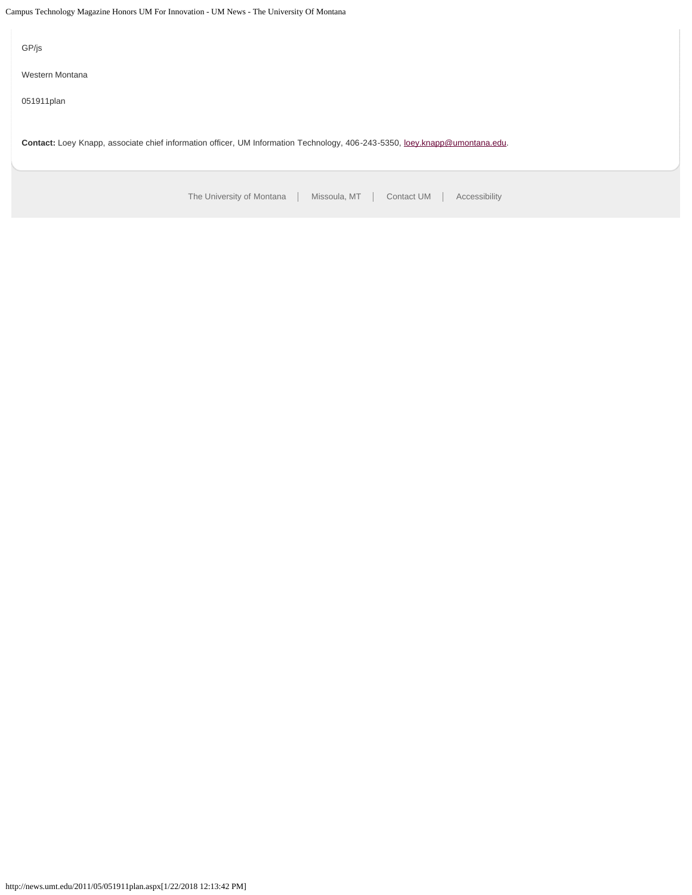Campus Technology Magazine Honors UM For Innovation - UM News - The University Of Montana

GP/js

Western Montana

051911plan

**Contact:** Loey Knapp, associate chief information officer, UM Information Technology, 406-243-5350, [loey.knapp@umontana.edu.](mailto:loey.knapp@umontana.edu)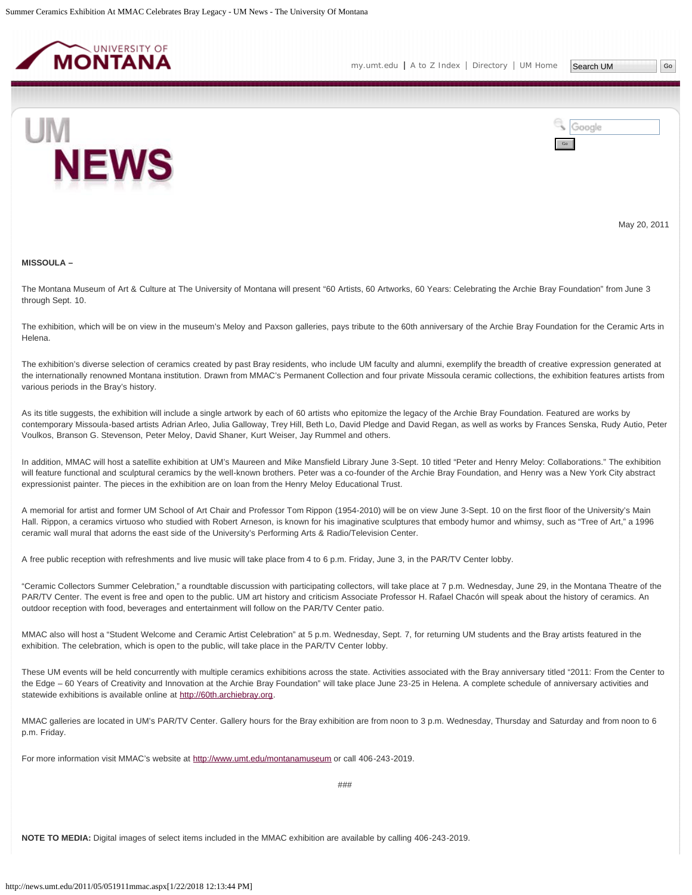<span id="page-14-0"></span>



May 20, 2011

#### **MISSOULA –**

The Montana Museum of Art & Culture at The University of Montana will present "60 Artists, 60 Artworks, 60 Years: Celebrating the Archie Bray Foundation" from June 3 through Sept. 10.

The exhibition, which will be on view in the museum's Meloy and Paxson galleries, pays tribute to the 60th anniversary of the Archie Bray Foundation for the Ceramic Arts in Helena.

The exhibition's diverse selection of ceramics created by past Bray residents, who include UM faculty and alumni, exemplify the breadth of creative expression generated at the internationally renowned Montana institution. Drawn from MMAC's Permanent Collection and four private Missoula ceramic collections, the exhibition features artists from various periods in the Bray's history.

As its title suggests, the exhibition will include a single artwork by each of 60 artists who epitomize the legacy of the Archie Bray Foundation. Featured are works by contemporary Missoula-based artists Adrian Arleo, Julia Galloway, Trey Hill, Beth Lo, David Pledge and David Regan, as well as works by Frances Senska, Rudy Autio, Peter Voulkos, Branson G. Stevenson, Peter Meloy, David Shaner, Kurt Weiser, Jay Rummel and others.

In addition, MMAC will host a satellite exhibition at UM's Maureen and Mike Mansfield Library June 3-Sept. 10 titled "Peter and Henry Meloy: Collaborations." The exhibition will feature functional and sculptural ceramics by the well-known brothers. Peter was a co-founder of the Archie Bray Foundation, and Henry was a New York City abstract expressionist painter. The pieces in the exhibition are on loan from the Henry Meloy Educational Trust.

A memorial for artist and former UM School of Art Chair and Professor Tom Rippon (1954-2010) will be on view June 3-Sept. 10 on the first floor of the University's Main Hall. Rippon, a ceramics virtuoso who studied with Robert Arneson, is known for his imaginative sculptures that embody humor and whimsy, such as "Tree of Art," a 1996 ceramic wall mural that adorns the east side of the University's Performing Arts & Radio/Television Center.

A free public reception with refreshments and live music will take place from 4 to 6 p.m. Friday, June 3, in the PAR/TV Center lobby.

"Ceramic Collectors Summer Celebration," a roundtable discussion with participating collectors, will take place at 7 p.m. Wednesday, June 29, in the Montana Theatre of the PAR/TV Center. The event is free and open to the public. UM art history and criticism Associate Professor H. Rafael Chacón will speak about the history of ceramics. An outdoor reception with food, beverages and entertainment will follow on the PAR/TV Center patio.

MMAC also will host a "Student Welcome and Ceramic Artist Celebration" at 5 p.m. Wednesday, Sept. 7, for returning UM students and the Bray artists featured in the exhibition. The celebration, which is open to the public, will take place in the PAR/TV Center lobby.

These UM events will be held concurrently with multiple ceramics exhibitions across the state. Activities associated with the Bray anniversary titled "2011: From the Center to the Edge – 60 Years of Creativity and Innovation at the Archie Bray Foundation" will take place June 23-25 in Helena. A complete schedule of anniversary activities and statewide exhibitions is available online at [http://60th.archiebray.org.](http://60th.archiebray.org/)

MMAC galleries are located in UM's PAR/TV Center. Gallery hours for the Bray exhibition are from noon to 3 p.m. Wednesday, Thursday and Saturday and from noon to 6 p.m. Friday.

For more information visit MMAC's website at<http://www.umt.edu/montanamuseum>or call 406-243-2019.

###

**NOTE TO MEDIA:** Digital images of select items included in the MMAC exhibition are available by calling 406-243-2019.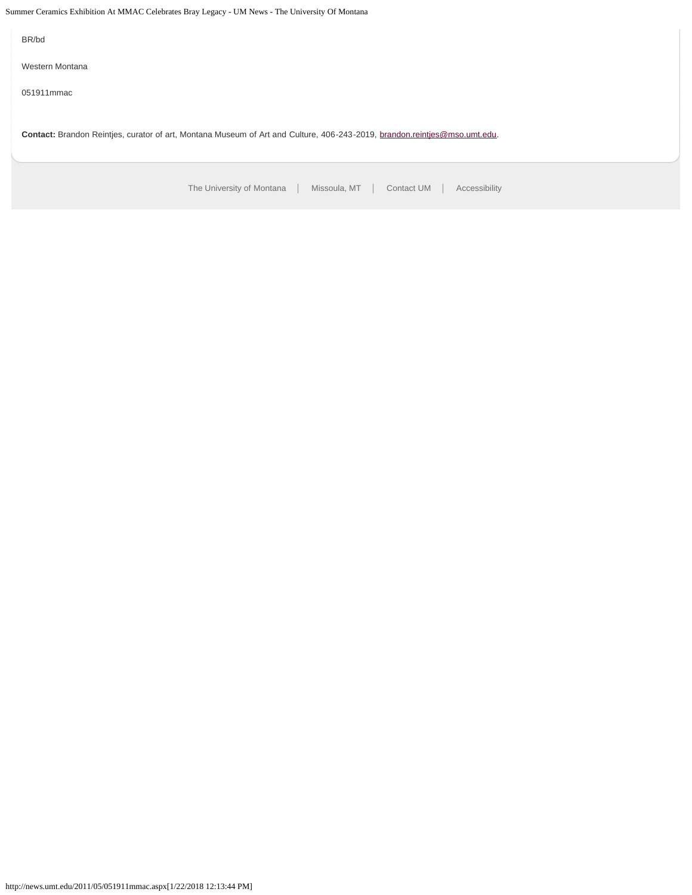Summer Ceramics Exhibition At MMAC Celebrates Bray Legacy - UM News - The University Of Montana

BR/bd

Western Montana

051911mmac

**Contact:** Brandon Reintjes, curator of art, Montana Museum of Art and Culture, 406-243-2019, [brandon.reintjes@mso.umt.edu.](mailto:brandon.reintjes@mso.umt.edu)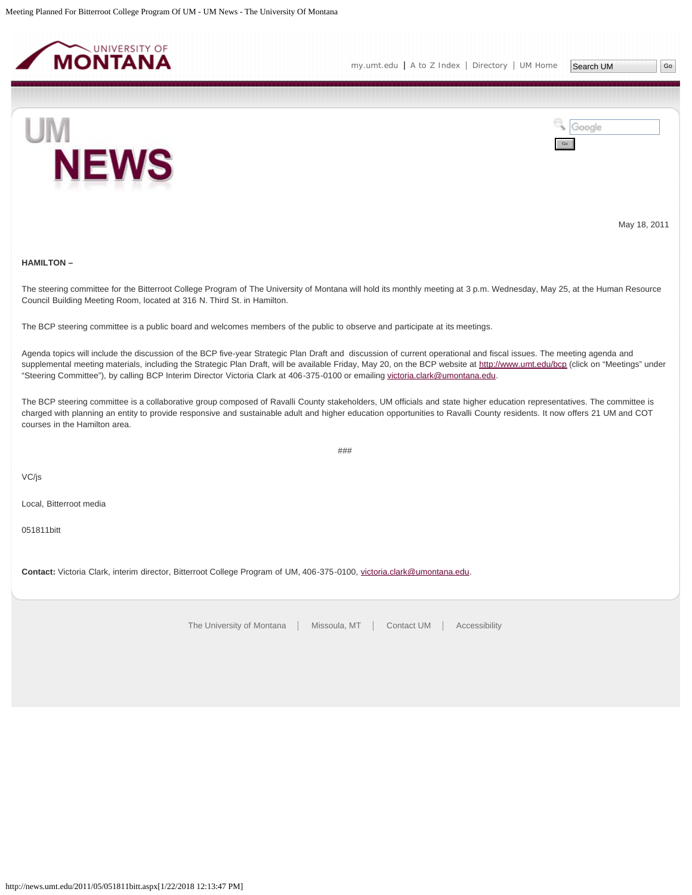<span id="page-16-0"></span>

[my.umt.edu](http://my.umt.edu/) | [A to Z Index](http://www.umt.edu/search/atoz/) | [Directory](http://www.umt.edu/directory/) | [UM Home](http://www.umt.edu/)



Google Go

May 18, 2011

# **HAMILTON –**

The steering committee for the Bitterroot College Program of The University of Montana will hold its monthly meeting at 3 p.m. Wednesday, May 25, at the Human Resource Council Building Meeting Room, located at 316 N. Third St. in Hamilton.

The BCP steering committee is a public board and welcomes members of the public to observe and participate at its meetings.

Agenda topics will include the discussion of the BCP five-year Strategic Plan Draft and discussion of current operational and fiscal issues. The meeting agenda and supplemental meeting materials, including the Strategic Plan Draft, will be available Friday, May 20, on the BCP website at<http://www.umt.edu/bcp>(click on "Meetings" under "Steering Committee"), by calling BCP Interim Director Victoria Clark at 406-375-0100 or emailing [victoria.clark@umontana.edu](mailto:victoria.clark@umontana.edu).

The BCP steering committee is a collaborative group composed of Ravalli County stakeholders, UM officials and state higher education representatives. The committee is charged with planning an entity to provide responsive and sustainable adult and higher education opportunities to Ravalli County residents. It now offers 21 UM and COT courses in the Hamilton area.

###

VC/js

Local, Bitterroot media

051811bitt

Contact: Victoria Clark, interim director, Bitterroot College Program of UM, 406-375-0100, [victoria.clark@umontana.edu](mailto:victoria.clark@umontana.edu).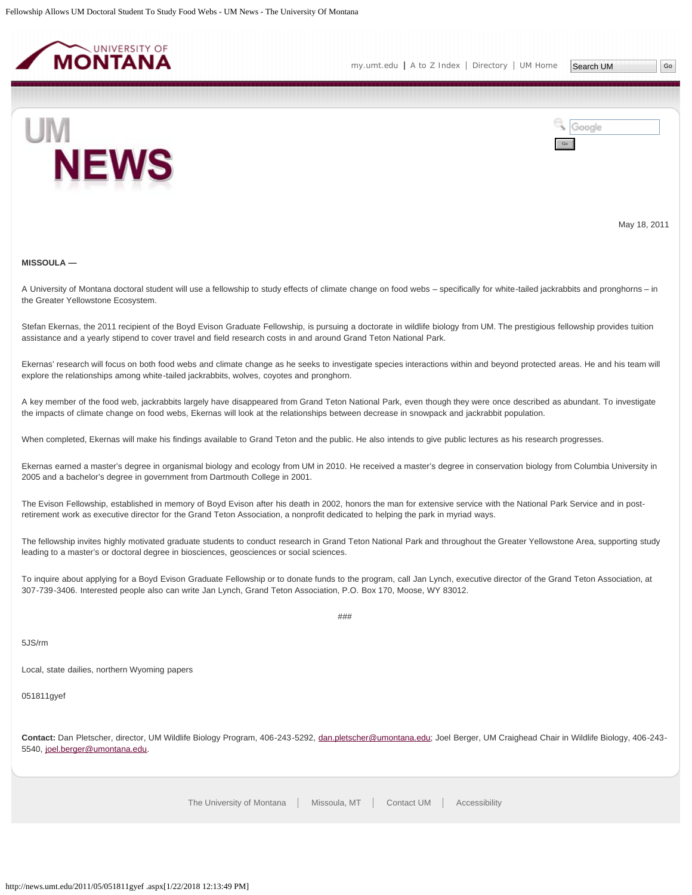<span id="page-17-0"></span>



May 18, 2011

#### **MISSOULA —**

A University of Montana doctoral student will use a fellowship to study effects of climate change on food webs – specifically for white-tailed jackrabbits and pronghorns – in the Greater Yellowstone Ecosystem.

Stefan Ekernas, the 2011 recipient of the Boyd Evison Graduate Fellowship, is pursuing a doctorate in wildlife biology from UM. The prestigious fellowship provides tuition assistance and a yearly stipend to cover travel and field research costs in and around Grand Teton National Park.

Ekernas' research will focus on both food webs and climate change as he seeks to investigate species interactions within and beyond protected areas. He and his team will explore the relationships among white-tailed jackrabbits, wolves, coyotes and pronghorn.

A key member of the food web, jackrabbits largely have disappeared from Grand Teton National Park, even though they were once described as abundant. To investigate the impacts of climate change on food webs, Ekernas will look at the relationships between decrease in snowpack and jackrabbit population.

When completed, Ekernas will make his findings available to Grand Teton and the public. He also intends to give public lectures as his research progresses.

Ekernas earned a master's degree in organismal biology and ecology from UM in 2010. He received a master's degree in conservation biology from Columbia University in 2005 and a bachelor's degree in government from Dartmouth College in 2001.

The Evison Fellowship, established in memory of Boyd Evison after his death in 2002, honors the man for extensive service with the National Park Service and in postretirement work as executive director for the Grand Teton Association, a nonprofit dedicated to helping the park in myriad ways.

The fellowship invites highly motivated graduate students to conduct research in Grand Teton National Park and throughout the Greater Yellowstone Area, supporting study leading to a master's or doctoral degree in biosciences, geosciences or social sciences.

To inquire about applying for a Boyd Evison Graduate Fellowship or to donate funds to the program, call Jan Lynch, executive director of the Grand Teton Association, at 307-739-3406. Interested people also can write Jan Lynch, Grand Teton Association, P.O. Box 170, Moose, WY 83012.

###

 $5.1S$ /rm

Local, state dailies, northern Wyoming papers

051811gyef

**Contact:** Dan Pletscher, director, UM Wildlife Biology Program, 406-243-5292, [dan.pletscher@umontana.edu](mailto:dan.pletscher@umontana.edu); Joel Berger, UM Craighead Chair in Wildlife Biology, 406-243- 5540, [joel.berger@umontana.edu](mailto:joel.berger@umontana.edu).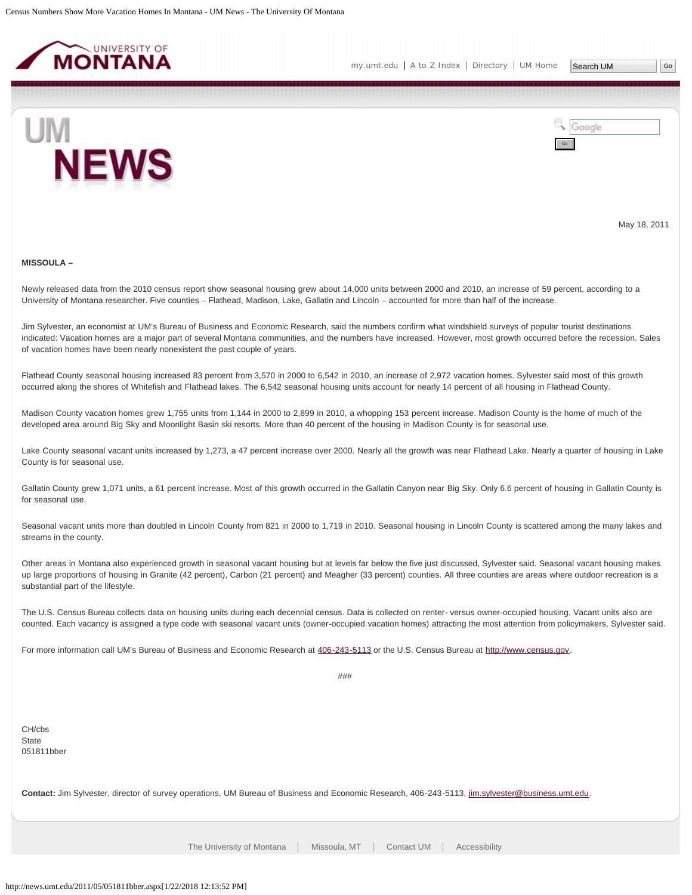<span id="page-18-0"></span>

Search UM



Google Go

May 18, 2011

#### **MISSOULA –**

Newly released data from the 2010 census report show seasonal housing grew about 14,000 units between 2000 and 2010, an increase of 59 percent, according to a University of Montana researcher. Five counties – Flathead, Madison, Lake, Gallatin and Lincoln – accounted for more than half of the increase.

Jim Sylvester, an economist at UM's Bureau of Business and Economic Research, said the numbers confirm what windshield surveys of popular tourist destinations indicated: Vacation homes are a major part of several Montana communities, and the numbers have increased. However, most growth occurred before the recession. Sales of vacation homes have been nearly nonexistent the past couple of years.

Flathead County seasonal housing increased 83 percent from 3,570 in 2000 to 6,542 in 2010, an increase of 2,972 vacation homes. Sylvester said most of this growth occurred along the shores of Whitefish and Flathead lakes. The 6,542 seasonal housing units account for nearly 14 percent of all housing in Flathead County.

Madison County vacation homes grew 1,755 units from 1,144 in 2000 to 2,899 in 2010, a whopping 153 percent increase. Madison County is the home of much of the developed area around Big Sky and Moonlight Basin ski resorts. More than 40 percent of the housing in Madison County is for seasonal use.

Lake County seasonal vacant units increased by 1,273, a 47 percent increase over 2000. Nearly all the growth was near Flathead Lake. Nearly a quarter of housing in Lake County is for seasonal use.

Gallatin County grew 1,071 units, a 61 percent increase. Most of this growth occurred in the Gallatin Canyon near Big Sky. Only 6.6 percent of housing in Gallatin County is for seasonal use.

Seasonal vacant units more than doubled in Lincoln County from 821 in 2000 to 1,719 in 2010. Seasonal housing in Lincoln County is scattered among the many lakes and streams in the county.

Other areas in Montana also experienced growth in seasonal vacant housing but at levels far below the five just discussed, Sylvester said. Seasonal vacant housing makes up large proportions of housing in Granite (42 percent), Carbon (21 percent) and Meagher (33 percent) counties. All three counties are areas where outdoor recreation is a substantial part of the lifestyle.

The U.S. Census Bureau collects data on housing units during each decennial census. Data is collected on renter- versus owner-occupied housing. Vacant units also are counted. Each vacancy is assigned a type code with seasonal vacant units (owner-occupied vacation homes) attracting the most attention from policymakers, Sylvester said.

For more information call UM's Bureau of Business and Economic Research at [406-243-5113](http://406-243-5113/) or the U.S. Census Bureau at [http://www.census.gov.](http://www.census.gov/)

###

CH/cbs State 051811bber

Contact: Jim Sylvester, director of survey operations, UM Bureau of Business and Economic Research, 406-243-5113,  $\lim_{s \to 0}$  sylvester@business.umt.edu.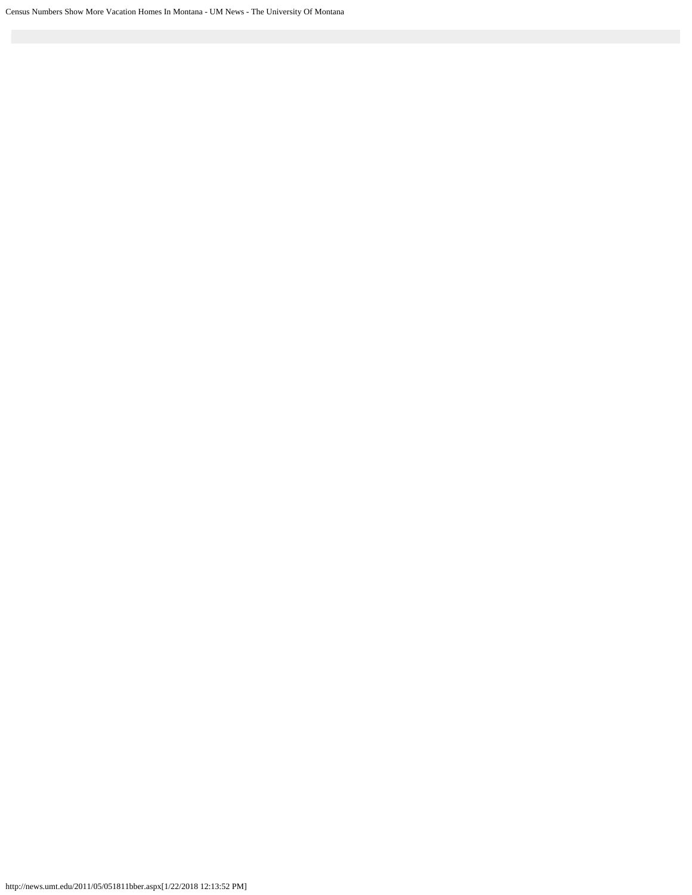Census Numbers Show More Vacation Homes In Montana - UM News - The University Of Montana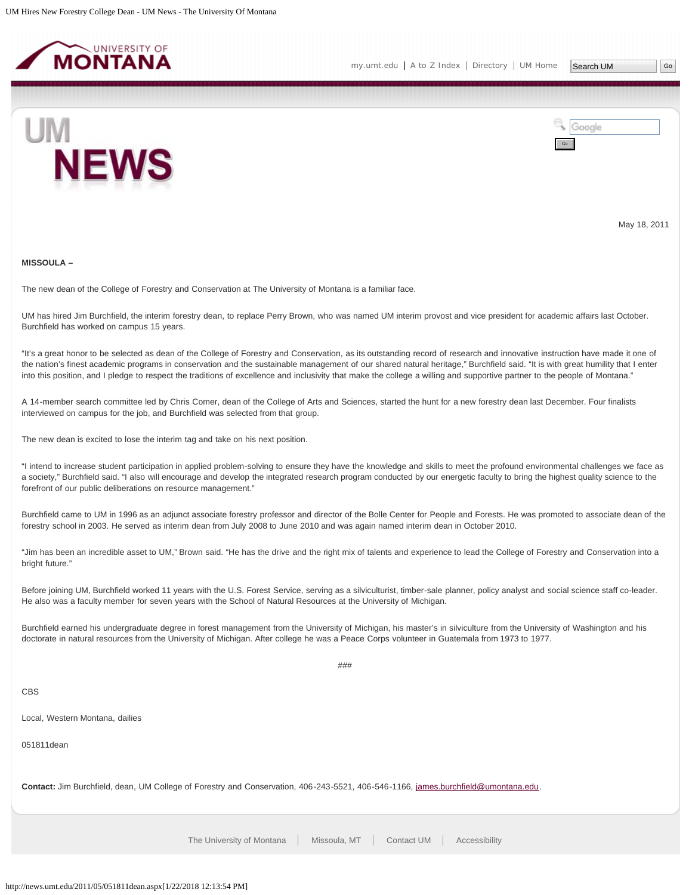<span id="page-20-0"></span>



May 18, 2011

#### **MISSOULA –**

The new dean of the College of Forestry and Conservation at The University of Montana is a familiar face.

UM has hired Jim Burchfield, the interim forestry dean, to replace Perry Brown, who was named UM interim provost and vice president for academic affairs last October. Burchfield has worked on campus 15 years.

"It's a great honor to be selected as dean of the College of Forestry and Conservation, as its outstanding record of research and innovative instruction have made it one of the nation's finest academic programs in conservation and the sustainable management of our shared natural heritage," Burchfield said. "It is with great humility that I enter into this position, and I pledge to respect the traditions of excellence and inclusivity that make the college a willing and supportive partner to the people of Montana."

A 14-member search committee led by Chris Comer, dean of the College of Arts and Sciences, started the hunt for a new forestry dean last December. Four finalists interviewed on campus for the job, and Burchfield was selected from that group.

The new dean is excited to lose the interim tag and take on his next position.

"I intend to increase student participation in applied problem-solving to ensure they have the knowledge and skills to meet the profound environmental challenges we face as a society," Burchfield said. "I also will encourage and develop the integrated research program conducted by our energetic faculty to bring the highest quality science to the forefront of our public deliberations on resource management."

Burchfield came to UM in 1996 as an adjunct associate forestry professor and director of the Bolle Center for People and Forests. He was promoted to associate dean of the forestry school in 2003. He served as interim dean from July 2008 to June 2010 and was again named interim dean in October 2010.

"Jim has been an incredible asset to UM," Brown said. "He has the drive and the right mix of talents and experience to lead the College of Forestry and Conservation into a bright future."

Before joining UM, Burchfield worked 11 years with the U.S. Forest Service, serving as a silviculturist, timber-sale planner, policy analyst and social science staff co-leader. He also was a faculty member for seven years with the School of Natural Resources at the University of Michigan.

Burchfield earned his undergraduate degree in forest management from the University of Michigan, his master's in silviculture from the University of Washington and his doctorate in natural resources from the University of Michigan. After college he was a Peace Corps volunteer in Guatemala from 1973 to 1977.

###

CBS

Local, Western Montana, dailies

051811dean

**Contact:** Jim Burchfield, dean, UM College of Forestry and Conservation, 406-243-5521, 406-546-1166, [james.burchfield@umontana.edu](mailto:james.burchfield@umontana.edu).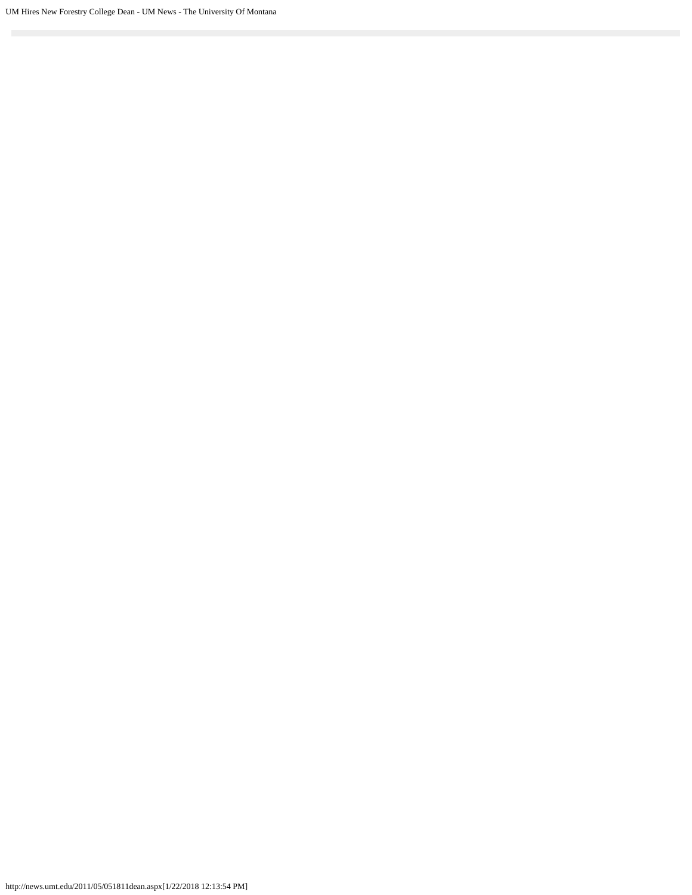UM Hires New Forestry College Dean - UM News - The University Of Montana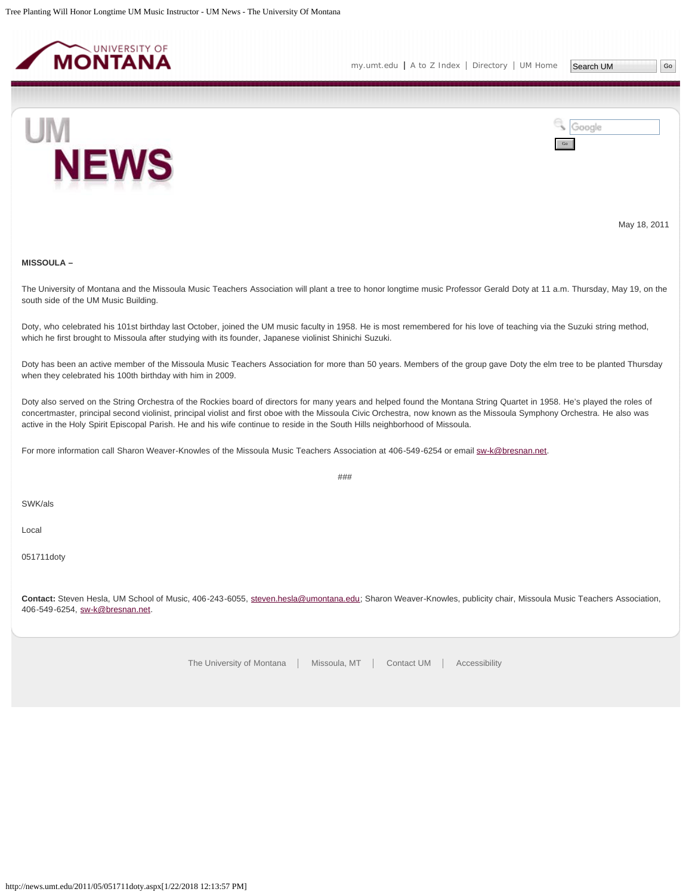<span id="page-22-0"></span>



May 18, 2011

# **MISSOULA –**

The University of Montana and the Missoula Music Teachers Association will plant a tree to honor longtime music Professor Gerald Doty at 11 a.m. Thursday, May 19, on the south side of the UM Music Building.

Doty, who celebrated his 101st birthday last October, joined the UM music faculty in 1958. He is most remembered for his love of teaching via the Suzuki string method, which he first brought to Missoula after studying with its founder, Japanese violinist Shinichi Suzuki.

Doty has been an active member of the Missoula Music Teachers Association for more than 50 years. Members of the group gave Doty the elm tree to be planted Thursday when they celebrated his 100th birthday with him in 2009.

Doty also served on the String Orchestra of the Rockies board of directors for many years and helped found the Montana String Quartet in 1958. He's played the roles of concertmaster, principal second violinist, principal violist and first oboe with the Missoula Civic Orchestra, now known as the Missoula Symphony Orchestra. He also was active in the Holy Spirit Episcopal Parish. He and his wife continue to reside in the South Hills neighborhood of Missoula.

###

For more information call Sharon Weaver-Knowles of the Missoula Music Teachers Association at 406-549-6254 or email [sw-k@bresnan.net](mailto:sw-k@bresnan.net).

SWK/als

Local

051711doty

**Contact:** Steven Hesla, UM School of Music, 406-243-6055, [steven.hesla@umontana.edu;](mailto:steven.hesla@umontana.edu) Sharon Weaver-Knowles, publicity chair, Missoula Music Teachers Association, 406-549-6254, [sw-k@bresnan.net](mailto:sw-k@bresnan.net).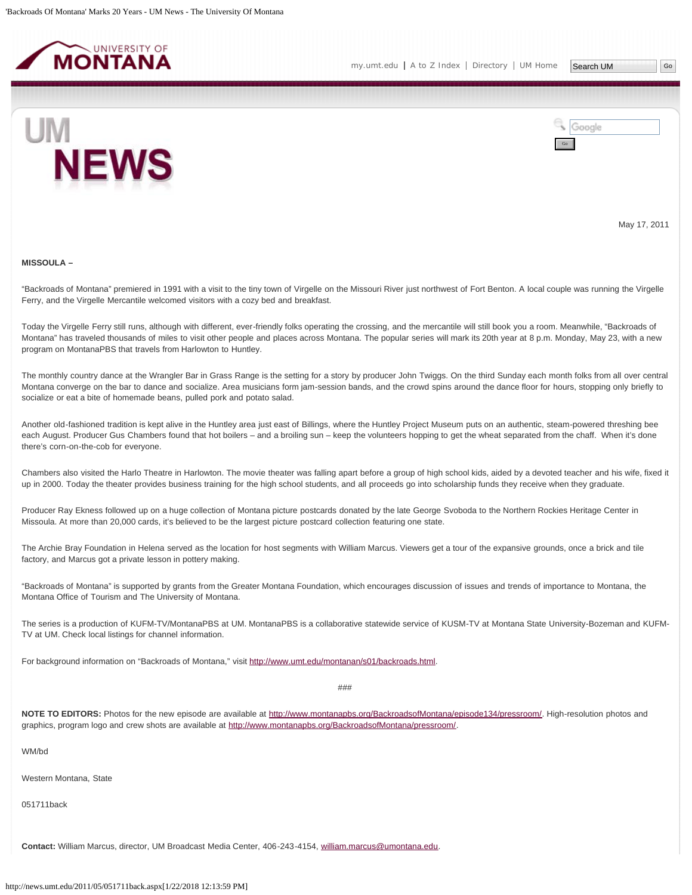<span id="page-23-0"></span>



May 17, 2011

#### **MISSOULA –**

"Backroads of Montana" premiered in 1991 with a visit to the tiny town of Virgelle on the Missouri River just northwest of Fort Benton. A local couple was running the Virgelle Ferry, and the Virgelle Mercantile welcomed visitors with a cozy bed and breakfast.

Today the Virgelle Ferry still runs, although with different, ever-friendly folks operating the crossing, and the mercantile will still book you a room. Meanwhile, "Backroads of Montana" has traveled thousands of miles to visit other people and places across Montana. The popular series will mark its 20th year at 8 p.m. Monday, May 23, with a new program on MontanaPBS that travels from Harlowton to Huntley.

The monthly country dance at the Wrangler Bar in Grass Range is the setting for a story by producer John Twiggs. On the third Sunday each month folks from all over central Montana converge on the bar to dance and socialize. Area musicians form jam-session bands, and the crowd spins around the dance floor for hours, stopping only briefly to socialize or eat a bite of homemade beans, pulled pork and potato salad.

Another old-fashioned tradition is kept alive in the Huntley area just east of Billings, where the Huntley Project Museum puts on an authentic, steam-powered threshing bee each August. Producer Gus Chambers found that hot boilers – and a broiling sun – keep the volunteers hopping to get the wheat separated from the chaff. When it's done there's corn-on-the-cob for everyone.

Chambers also visited the Harlo Theatre in Harlowton. The movie theater was falling apart before a group of high school kids, aided by a devoted teacher and his wife, fixed it up in 2000. Today the theater provides business training for the high school students, and all proceeds go into scholarship funds they receive when they graduate.

Producer Ray Ekness followed up on a huge collection of Montana picture postcards donated by the late George Svoboda to the Northern Rockies Heritage Center in Missoula. At more than 20,000 cards, it's believed to be the largest picture postcard collection featuring one state.

The Archie Bray Foundation in Helena served as the location for host segments with William Marcus. Viewers get a tour of the expansive grounds, once a brick and tile factory, and Marcus got a private lesson in pottery making.

"Backroads of Montana" is supported by grants from the Greater Montana Foundation, which encourages discussion of issues and trends of importance to Montana, the Montana Office of Tourism and The University of Montana.

The series is a production of KUFM-TV/MontanaPBS at UM. MontanaPBS is a collaborative statewide service of KUSM-TV at Montana State University-Bozeman and KUFM-TV at UM. Check local listings for channel information.

For background information on "Backroads of Montana," visit [http://www.umt.edu/montanan/s01/backroads.html.](http://www.umt.edu/montanan/s01/backroads.html)

###

NOTE TO EDITORS: Photos for the new episode are available at [http://www.montanapbs.org/BackroadsofMontana/episode134/pressroom/.](http://www.montanapbs.org/BackroadsofMontana/episode134/pressroom/) High-resolution photos and graphics, program logo and crew shots are available at [http://www.montanapbs.org/BackroadsofMontana/pressroom/.](http://www.montanapbs.org/BackroadsofMontana/pressroom/)

WM/bd

Western Montana, State

051711back

**Contact:** William Marcus, director, UM Broadcast Media Center, 406-243-4154, [william.marcus@umontana.edu.](mailto:william.marcus@umontana.edu)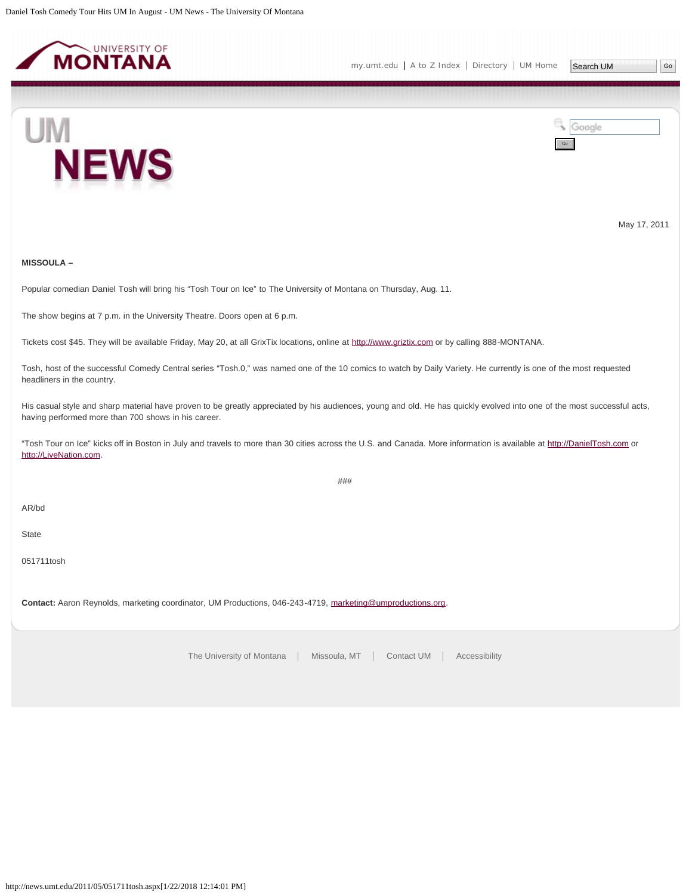<span id="page-25-0"></span>

**NEWS** 



May 17, 2011

## **MISSOULA –**

UM

Popular comedian Daniel Tosh will bring his "Tosh Tour on Ice" to The University of Montana on Thursday, Aug. 11.

The show begins at 7 p.m. in the University Theatre. Doors open at 6 p.m.

Tickets cost \$45. They will be available Friday, May 20, at all GrixTix locations, online at [http://www.griztix.com](http://www.griztix.com/) or by calling 888-MONTANA.

Tosh, host of the successful Comedy Central series "Tosh.0," was named one of the 10 comics to watch by Daily Variety. He currently is one of the most requested headliners in the country.

His casual style and sharp material have proven to be greatly appreciated by his audiences, young and old. He has quickly evolved into one of the most successful acts, having performed more than 700 shows in his career.

"Tosh Tour on Ice" kicks off in Boston in July and travels to more than 30 cities across the U.S. and Canada. More information is available at [http://DanielTosh.com](http://danieltosh.com/) or [http://LiveNation.com.](http://livenation.com/)

###

AR/bd

State

051711tosh

**Contact:** Aaron Reynolds, marketing coordinator, UM Productions, 046-243-4719, [marketing@umproductions.org.](mailto:marketing@umproductions.org)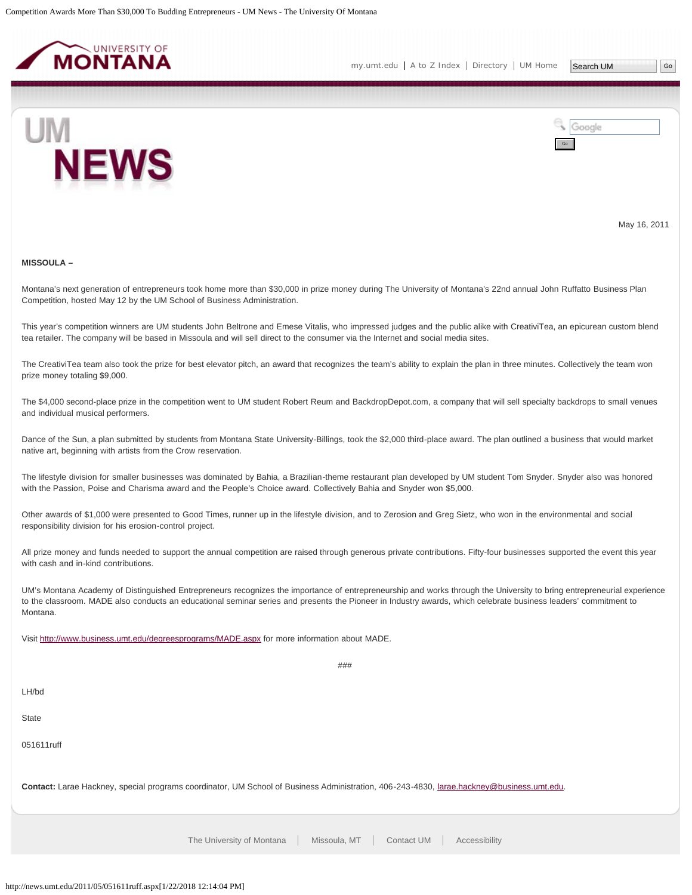<span id="page-26-0"></span>

Go

Google



May 16, 2011

#### **MISSOULA –**

Montana's next generation of entrepreneurs took home more than \$30,000 in prize money during The University of Montana's 22nd annual John Ruffatto Business Plan Competition, hosted May 12 by the UM School of Business Administration.

This year's competition winners are UM students John Beltrone and Emese Vitalis, who impressed judges and the public alike with CreativiTea, an epicurean custom blend tea retailer. The company will be based in Missoula and will sell direct to the consumer via the Internet and social media sites.

The CreativiTea team also took the prize for best elevator pitch, an award that recognizes the team's ability to explain the plan in three minutes. Collectively the team won prize money totaling \$9,000.

The \$4,000 second-place prize in the competition went to UM student Robert Reum and BackdropDepot.com, a company that will sell specialty backdrops to small venues and individual musical performers.

Dance of the Sun, a plan submitted by students from Montana State University-Billings, took the \$2,000 third-place award. The plan outlined a business that would market native art, beginning with artists from the Crow reservation.

The lifestyle division for smaller businesses was dominated by Bahia, a Brazilian-theme restaurant plan developed by UM student Tom Snyder. Snyder also was honored with the Passion, Poise and Charisma award and the People's Choice award. Collectively Bahia and Snyder won \$5,000.

Other awards of \$1,000 were presented to Good Times, runner up in the lifestyle division, and to Zerosion and Greg Sietz, who won in the environmental and social responsibility division for his erosion-control project.

All prize money and funds needed to support the annual competition are raised through generous private contributions. Fifty-four businesses supported the event this year with cash and in-kind contributions.

UM's Montana Academy of Distinguished Entrepreneurs recognizes the importance of entrepreneurship and works through the University to bring entrepreneurial experience to the classroom. MADE also conducts an educational seminar series and presents the Pioneer in Industry awards, which celebrate business leaders' commitment to Montana.

###

[The University of Montana](http://www.umt.edu/) | Missoula, MT | [Contact UM](http://www.umt.edu/comments) | [Accessibility](http://www.umt.edu/home/accessibility)

Visit<http://www.business.umt.edu/degreesprograms/MADE.aspx> for more information about MADE.

LH/bd **State** 051611ruff **Contact:** Larae Hackney, special programs coordinator, UM School of Business Administration, 406-243-4830, [larae.hackney@business.umt.edu.](mailto:larae.hackney@business.umt.edu)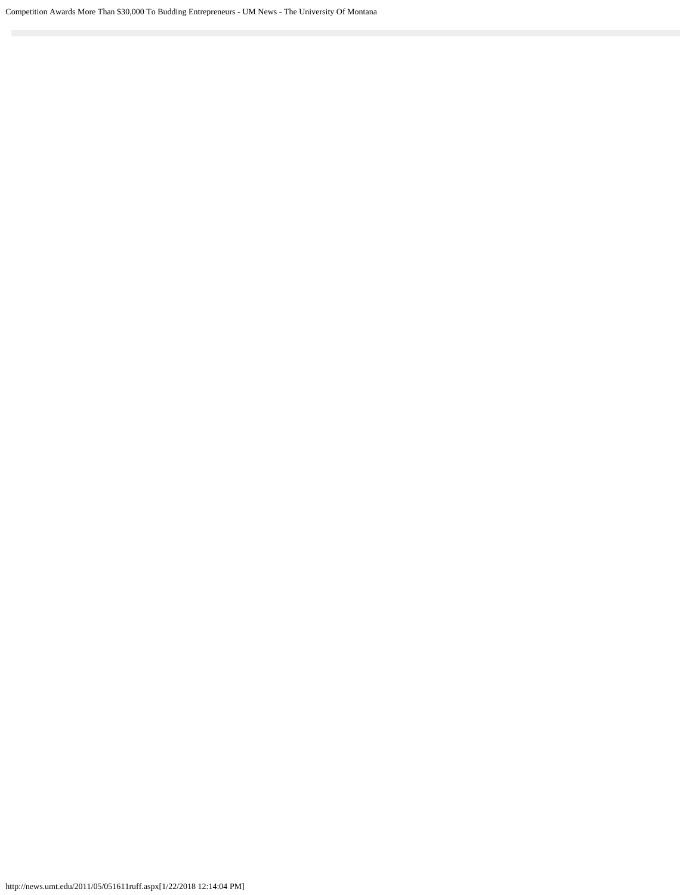Competition Awards More Than \$30,000 To Budding Entrepreneurs - UM News - The University Of Montana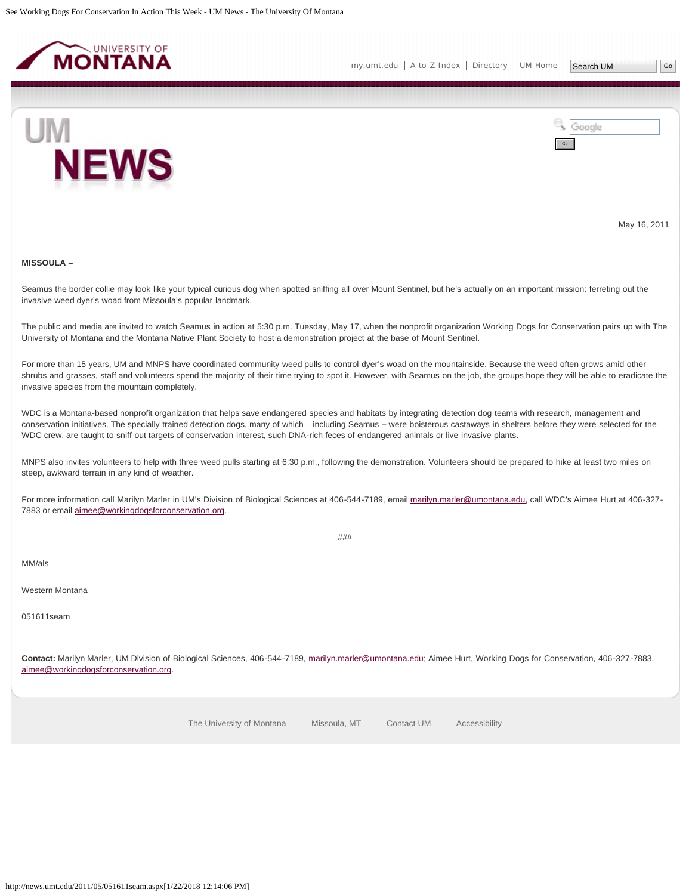<span id="page-28-0"></span>



May 16, 2011

# **MISSOULA –**

Seamus the border collie may look like your typical curious dog when spotted sniffing all over Mount Sentinel, but he's actually on an important mission: ferreting out the invasive weed dyer's woad from Missoula's popular landmark.

The public and media are invited to watch Seamus in action at 5:30 p.m. Tuesday, May 17, when the nonprofit organization Working Dogs for Conservation pairs up with The University of Montana and the Montana Native Plant Society to host a demonstration project at the base of Mount Sentinel.

For more than 15 years, UM and MNPS have coordinated community weed pulls to control dyer's woad on the mountainside. Because the weed often grows amid other shrubs and grasses, staff and volunteers spend the majority of their time trying to spot it. However, with Seamus on the job, the groups hope they will be able to eradicate the invasive species from the mountain completely.

WDC is a Montana-based nonprofit organization that helps save endangered species and habitats by integrating detection dog teams with research, management and conservation initiatives. The specially trained detection dogs, many of which – including Seamus **–** were boisterous castaways in shelters before they were selected for the WDC crew, are taught to sniff out targets of conservation interest, such DNA-rich feces of endangered animals or live invasive plants.

MNPS also invites volunteers to help with three weed pulls starting at 6:30 p.m., following the demonstration. Volunteers should be prepared to hike at least two miles on steep, awkward terrain in any kind of weather.

For more information call Marilyn Marler in UM's Division of Biological Sciences at 406-544-7189, email [marilyn.marler@umontana.edu,](mailto:marilyn.marler@umontana.edu) call WDC's Aimee Hurt at 406-3277883 or email [aimee@workingdogsforconservation.org.](mailto:aimee@workingdogsforconservation.org)

###

MM/als

Western Montana

051611seam

**Contact:** Marilyn Marler, UM Division of Biological Sciences, 406-544-7189, [marilyn.marler@umontana.edu;](mailto:marilyn.marler@umontana.edu) Aimee Hurt, Working Dogs for Conservation, 406-327-7883, [aimee@workingdogsforconservation.org.](mailto:aimee@workingdogsforconservation.org)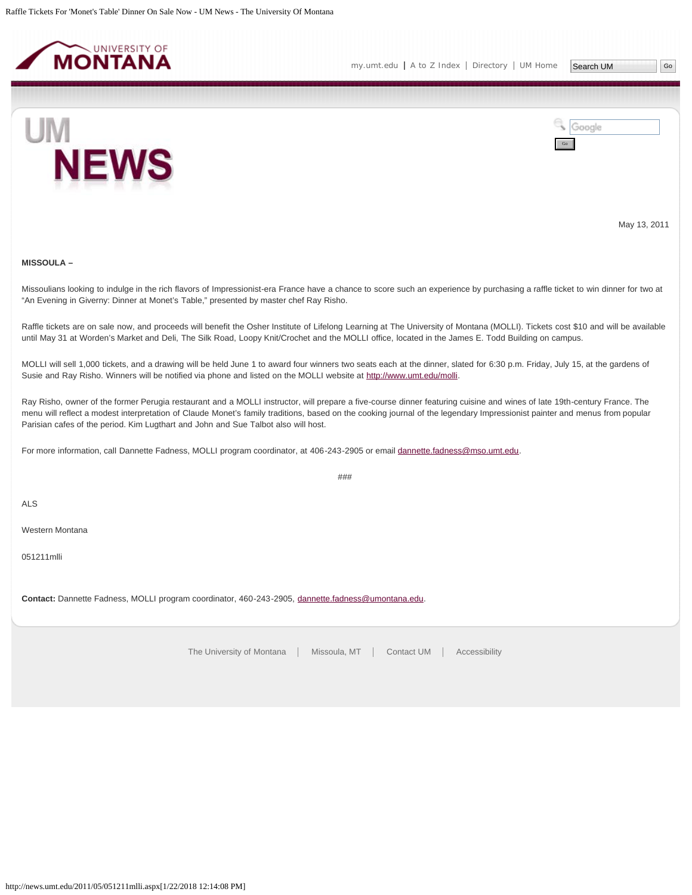<span id="page-29-0"></span>



May 13, 2011

# **MISSOULA –**

Missoulians looking to indulge in the rich flavors of Impressionist-era France have a chance to score such an experience by purchasing a raffle ticket to win dinner for two at "An Evening in Giverny: Dinner at Monet's Table," presented by master chef Ray Risho.

Raffle tickets are on sale now, and proceeds will benefit the Osher Institute of Lifelong Learning at The University of Montana (MOLLI). Tickets cost \$10 and will be available until May 31 at Worden's Market and Deli, The Silk Road, Loopy Knit/Crochet and the MOLLI office, located in the James E. Todd Building on campus.

MOLLI will sell 1,000 tickets, and a drawing will be held June 1 to award four winners two seats each at the dinner, slated for 6:30 p.m. Friday, July 15, at the gardens of Susie and Ray Risho. Winners will be notified via phone and listed on the MOLLI website at<http://www.umt.edu/molli>.

Ray Risho, owner of the former Perugia restaurant and a MOLLI instructor, will prepare a five-course dinner featuring cuisine and wines of late 19th-century France. The menu will reflect a modest interpretation of Claude Monet's family traditions, based on the cooking journal of the legendary Impressionist painter and menus from popular Parisian cafes of the period. Kim Lugthart and John and Sue Talbot also will host.

###

For more information, call Dannette Fadness, MOLLI program coordinator, at 406-243-2905 or email [dannette.fadness@mso.umt.edu](mailto:dannette.fadness@mso.umt.edu).

ALS

Western Montana

051211mlli

**Contact:** Dannette Fadness, MOLLI program coordinator, 460-243-2905, [dannette.fadness@umontana.edu.](mailto:dannette.fadness@umontana.edu)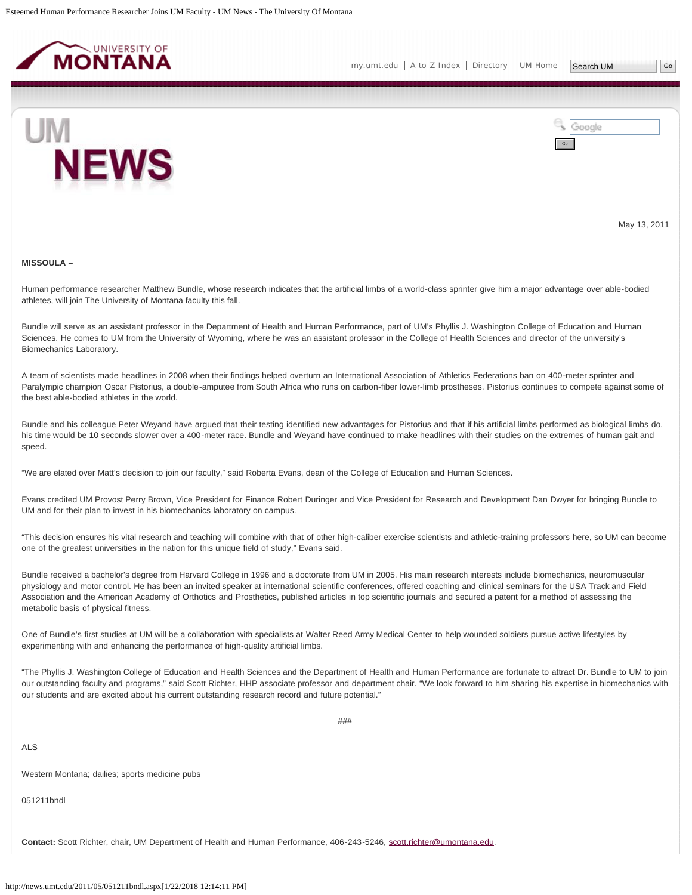<span id="page-30-0"></span>

Go

Google



May 13, 2011

#### **MISSOULA –**

Human performance researcher Matthew Bundle, whose research indicates that the artificial limbs of a world-class sprinter give him a major advantage over able-bodied athletes, will join The University of Montana faculty this fall.

Bundle will serve as an assistant professor in the Department of Health and Human Performance, part of UM's Phyllis J. Washington College of Education and Human Sciences. He comes to UM from the University of Wyoming, where he was an assistant professor in the College of Health Sciences and director of the university's Biomechanics Laboratory.

A team of scientists made headlines in 2008 when their findings helped overturn an International Association of Athletics Federations ban on 400-meter sprinter and Paralympic champion Oscar Pistorius, a double-amputee from South Africa who runs on carbon-fiber lower-limb prostheses. Pistorius continues to compete against some of the best able-bodied athletes in the world.

Bundle and his colleague Peter Weyand have argued that their testing identified new advantages for Pistorius and that if his artificial limbs performed as biological limbs do, his time would be 10 seconds slower over a 400-meter race. Bundle and Weyand have continued to make headlines with their studies on the extremes of human gait and speed.

"We are elated over Matt's decision to join our faculty," said Roberta Evans, dean of the College of Education and Human Sciences.

Evans credited UM Provost Perry Brown, Vice President for Finance Robert Duringer and Vice President for Research and Development Dan Dwyer for bringing Bundle to UM and for their plan to invest in his biomechanics laboratory on campus.

"This decision ensures his vital research and teaching will combine with that of other high-caliber exercise scientists and athletic-training professors here, so UM can become one of the greatest universities in the nation for this unique field of study," Evans said.

Bundle received a bachelor's degree from Harvard College in 1996 and a doctorate from UM in 2005. His main research interests include biomechanics, neuromuscular physiology and motor control. He has been an invited speaker at international scientific conferences, offered coaching and clinical seminars for the USA Track and Field Association and the American Academy of Orthotics and Prosthetics, published articles in top scientific journals and secured a patent for a method of assessing the metabolic basis of physical fitness.

One of Bundle's first studies at UM will be a collaboration with specialists at Walter Reed Army Medical Center to help wounded soldiers pursue active lifestyles by experimenting with and enhancing the performance of high-quality artificial limbs.

"The Phyllis J. Washington College of Education and Health Sciences and the Department of Health and Human Performance are fortunate to attract Dr. Bundle to UM to join our outstanding faculty and programs," said Scott Richter, HHP associate professor and department chair. "We look forward to him sharing his expertise in biomechanics with our students and are excited about his current outstanding research record and future potential."

###

ALS

Western Montana; dailies; sports medicine pubs

051211bndl

**Contact:** Scott Richter, chair, UM Department of Health and Human Performance, 406-243-5246, [scott.richter@umontana.edu](mailto:scott.richter@umontana.edu).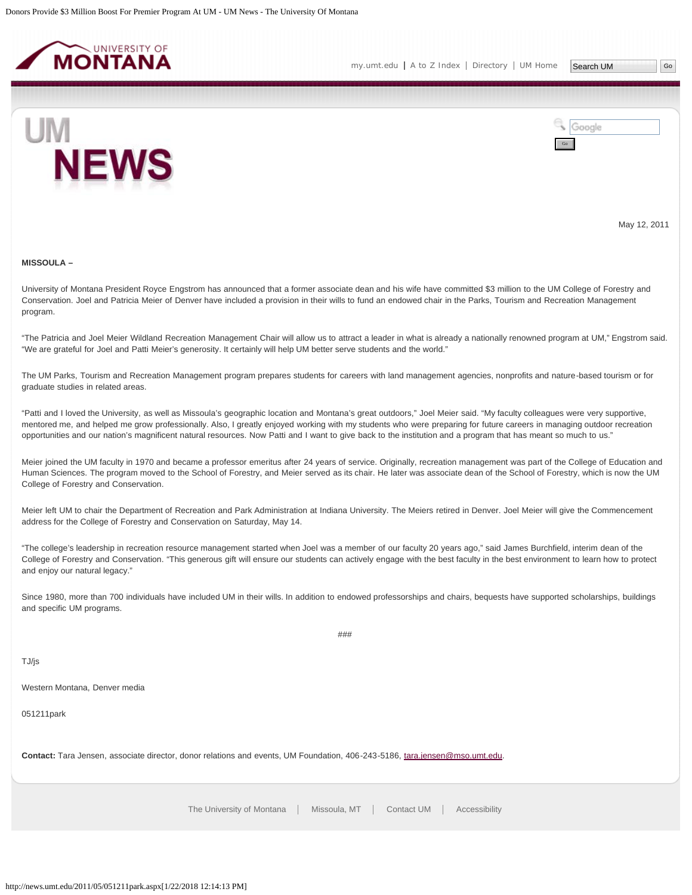<span id="page-32-0"></span>



May 12, 2011

#### **MISSOULA –**

University of Montana President Royce Engstrom has announced that a former associate dean and his wife have committed \$3 million to the UM College of Forestry and Conservation. Joel and Patricia Meier of Denver have included a provision in their wills to fund an endowed chair in the Parks, Tourism and Recreation Management program.

"The Patricia and Joel Meier Wildland Recreation Management Chair will allow us to attract a leader in what is already a nationally renowned program at UM," Engstrom said. "We are grateful for Joel and Patti Meier's generosity. It certainly will help UM better serve students and the world."

The UM Parks, Tourism and Recreation Management program prepares students for careers with land management agencies, nonprofits and nature-based tourism or for graduate studies in related areas.

"Patti and I loved the University, as well as Missoula's geographic location and Montana's great outdoors," Joel Meier said. "My faculty colleagues were very supportive, mentored me, and helped me grow professionally. Also, I greatly enjoyed working with my students who were preparing for future careers in managing outdoor recreation opportunities and our nation's magnificent natural resources. Now Patti and I want to give back to the institution and a program that has meant so much to us."

Meier joined the UM faculty in 1970 and became a professor emeritus after 24 years of service. Originally, recreation management was part of the College of Education and Human Sciences. The program moved to the School of Forestry, and Meier served as its chair. He later was associate dean of the School of Forestry, which is now the UM College of Forestry and Conservation.

Meier left UM to chair the Department of Recreation and Park Administration at Indiana University. The Meiers retired in Denver. Joel Meier will give the Commencement address for the College of Forestry and Conservation on Saturday, May 14.

"The college's leadership in recreation resource management started when Joel was a member of our faculty 20 years ago," said James Burchfield, interim dean of the College of Forestry and Conservation. "This generous gift will ensure our students can actively engage with the best faculty in the best environment to learn how to protect and enjoy our natural legacy."

Since 1980, more than 700 individuals have included UM in their wills. In addition to endowed professorships and chairs, bequests have supported scholarships, buildings and specific UM programs.

###

TJ/js

Western Montana, Denver media

051211park

**Contact:** Tara Jensen, associate director, donor relations and events, UM Foundation, 406-243-5186, [tara.jensen@mso.umt.edu.](mailto:tara.jensen@mso.umt.edu)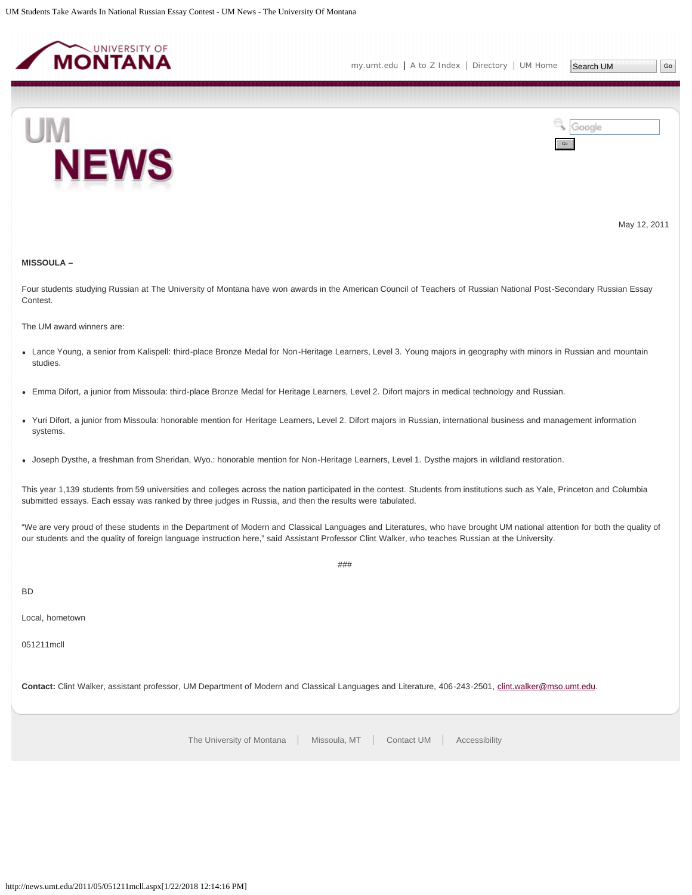<span id="page-33-0"></span>



May 12, 2011

#### **MISSOULA –**

Four students studying Russian at The University of Montana have won awards in the American Council of Teachers of Russian National Post-Secondary Russian Essay Contest.

The UM award winners are:

- Lance Young, a senior from Kalispell: third-place Bronze Medal for Non-Heritage Learners, Level 3. Young majors in geography with minors in Russian and mountain studies.
- Emma Difort, a junior from Missoula: third-place Bronze Medal for Heritage Learners, Level 2. Difort majors in medical technology and Russian.
- Yuri Difort, a junior from Missoula: honorable mention for Heritage Learners, Level 2. Difort majors in Russian, international business and management information systems.
- Joseph Dysthe, a freshman from Sheridan, Wyo.: honorable mention for Non-Heritage Learners, Level 1. Dysthe majors in wildland restoration.

This year 1,139 students from 59 universities and colleges across the nation participated in the contest. Students from institutions such as Yale, Princeton and Columbia submitted essays. Each essay was ranked by three judges in Russia, and then the results were tabulated.

"We are very proud of these students in the Department of Modern and Classical Languages and Literatures, who have brought UM national attention for both the quality of our students and the quality of foreign language instruction here," said Assistant Professor Clint Walker, who teaches Russian at the University.

###

BD

Local, hometown

051211mcll

**Contact:** Clint Walker, assistant professor, UM Department of Modern and Classical Languages and Literature, 406-243-2501, [clint.walker@mso.umt.edu](mailto:clint.walker@mso.umt.edu).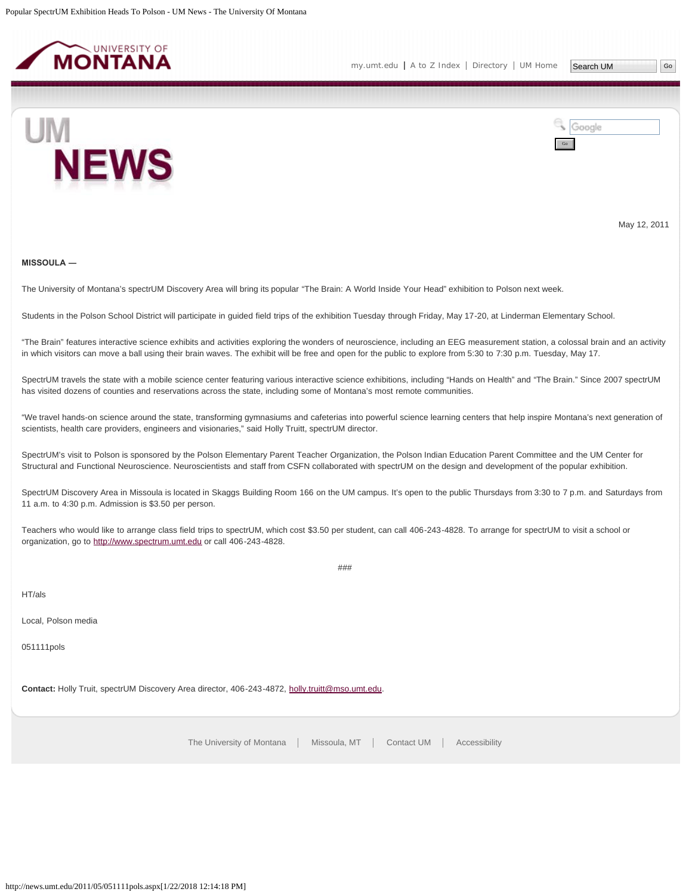<span id="page-34-0"></span>



May 12, 2011

# **MISSOULA ―**

The University of Montana's spectrUM Discovery Area will bring its popular "The Brain: A World Inside Your Head" exhibition to Polson next week.

Students in the Polson School District will participate in guided field trips of the exhibition Tuesday through Friday, May 17-20, at Linderman Elementary School.

"The Brain" features interactive science exhibits and activities exploring the wonders of neuroscience, including an EEG measurement station, a colossal brain and an activity in which visitors can move a ball using their brain waves. The exhibit will be free and open for the public to explore from 5:30 to 7:30 p.m. Tuesday, May 17.

SpectrUM travels the state with a mobile science center featuring various interactive science exhibitions, including "Hands on Health" and "The Brain." Since 2007 spectrUM has visited dozens of counties and reservations across the state, including some of Montana's most remote communities.

"We travel hands-on science around the state, transforming gymnasiums and cafeterias into powerful science learning centers that help inspire Montana's next generation of scientists, health care providers, engineers and visionaries," said Holly Truitt, spectrUM director.

SpectrUM's visit to Polson is sponsored by the Polson Elementary Parent Teacher Organization, the Polson Indian Education Parent Committee and the UM Center for Structural and Functional Neuroscience. Neuroscientists and staff from CSFN collaborated with spectrUM on the design and development of the popular exhibition.

SpectrUM Discovery Area in Missoula is located in Skaggs Building Room 166 on the UM campus. It's open to the public Thursdays from 3:30 to 7 p.m. and Saturdays from 11 a.m. to 4:30 p.m. Admission is \$3.50 per person.

###

Teachers who would like to arrange class field trips to spectrUM, which cost \$3.50 per student, can call 406-243-4828. To arrange for spectrUM to visit a school or organization, go to [http://www.spectrum.umt.edu](http://www.spectrum.umt.edu/) or call 406-243-4828.

HT/als

Local, Polson media

051111pols

**Contact:** Holly Truit, spectrUM Discovery Area director, 406-243-4872, [holly.truitt@mso.umt.edu.](mailto:holly.truitt@mso.umt.edu)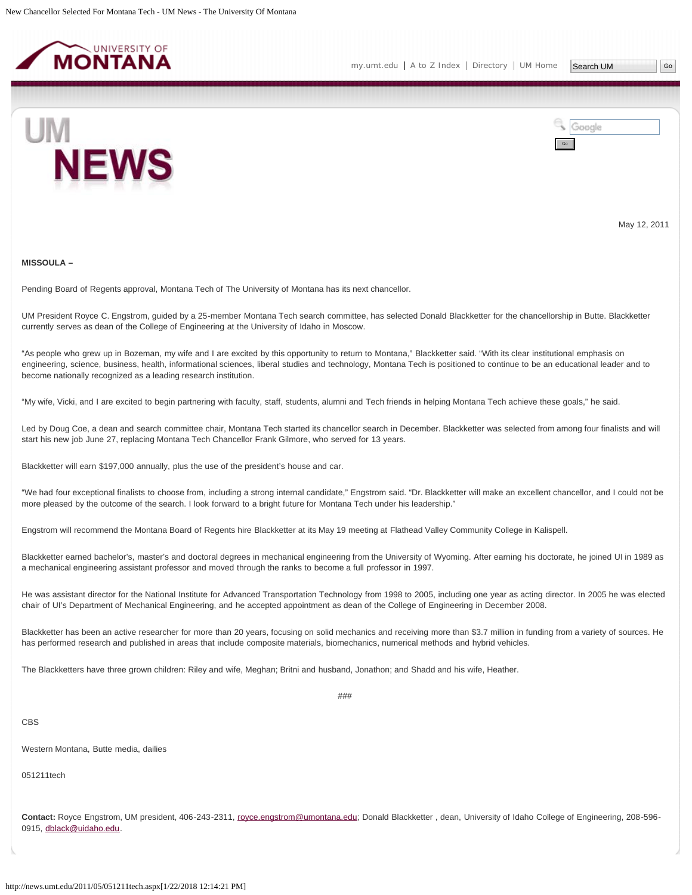<span id="page-35-0"></span>



May 12, 2011

#### **MISSOULA –**

Pending Board of Regents approval, Montana Tech of The University of Montana has its next chancellor.

UM President Royce C. Engstrom, guided by a 25-member Montana Tech search committee, has selected Donald Blackketter for the chancellorship in Butte. Blackketter currently serves as dean of the College of Engineering at the University of Idaho in Moscow.

"As people who grew up in Bozeman, my wife and I are excited by this opportunity to return to Montana," Blackketter said. "With its clear institutional emphasis on engineering, science, business, health, informational sciences, liberal studies and technology, Montana Tech is positioned to continue to be an educational leader and to become nationally recognized as a leading research institution.

"My wife, Vicki, and I are excited to begin partnering with faculty, staff, students, alumni and Tech friends in helping Montana Tech achieve these goals," he said.

Led by Doug Coe, a dean and search committee chair, Montana Tech started its chancellor search in December. Blackketter was selected from among four finalists and will start his new job June 27, replacing Montana Tech Chancellor Frank Gilmore, who served for 13 years.

Blackketter will earn \$197,000 annually, plus the use of the president's house and car.

"We had four exceptional finalists to choose from, including a strong internal candidate," Engstrom said. "Dr. Blackketter will make an excellent chancellor, and I could not be more pleased by the outcome of the search. I look forward to a bright future for Montana Tech under his leadership."

Engstrom will recommend the Montana Board of Regents hire Blackketter at its May 19 meeting at Flathead Valley Community College in Kalispell.

Blackketter earned bachelor's, master's and doctoral degrees in mechanical engineering from the University of Wyoming. After earning his doctorate, he joined UI in 1989 as a mechanical engineering assistant professor and moved through the ranks to become a full professor in 1997.

He was assistant director for the National Institute for Advanced Transportation Technology from 1998 to 2005, including one year as acting director. In 2005 he was elected chair of UI's Department of Mechanical Engineering, and he accepted appointment as dean of the College of Engineering in December 2008.

Blackketter has been an active researcher for more than 20 years, focusing on solid mechanics and receiving more than \$3.7 million in funding from a variety of sources. He has performed research and published in areas that include composite materials, biomechanics, numerical methods and hybrid vehicles.

###

The Blackketters have three grown children: Riley and wife, Meghan; Britni and husband, Jonathon; and Shadd and his wife, Heather.

CBS

Western Montana, Butte media, dailies

051211tech

**Contact:** Royce Engstrom, UM president, 406-243-2311, [royce.engstrom@umontana.edu](mailto:royce.engstrom@umontana.edu); Donald Blackketter , dean, University of Idaho College of Engineering, 208-596 0915, [dblack@uidaho.edu](mailto:dblack@uidaho.edu).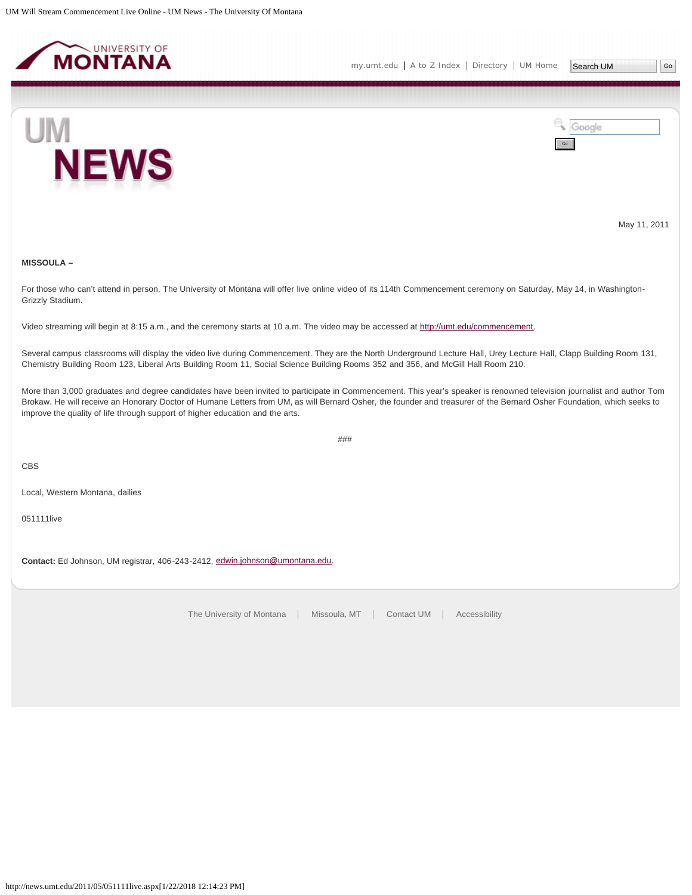<span id="page-37-0"></span>



May 11, 2011

# **MISSOULA –**

For those who can't attend in person, The University of Montana will offer live online video of its 114th Commencement ceremony on Saturday, May 14, in Washington-Grizzly Stadium.

Video streaming will begin at 8:15 a.m., and the ceremony starts at 10 a.m. The video may be accessed at<http://umt.edu/commencement>.

Several campus classrooms will display the video live during Commencement. They are the North Underground Lecture Hall, Urey Lecture Hall, Clapp Building Room 131, Chemistry Building Room 123, Liberal Arts Building Room 11, Social Science Building Rooms 352 and 356, and McGill Hall Room 210.

More than 3,000 graduates and degree candidates have been invited to participate in Commencement. This year's speaker is renowned television journalist and author Tom Brokaw. He will receive an Honorary Doctor of Humane Letters from UM, as will Bernard Osher, the founder and treasurer of the Bernard Osher Foundation, which seeks to improve the quality of life through support of higher education and the arts.

###

CBS

Local, Western Montana, dailies

051111live

**Contact:** Ed Johnson, UM registrar, 406-243-2412, [edwin.johnson@umontana.edu](mailto:edwin.johnson@umontana.edu).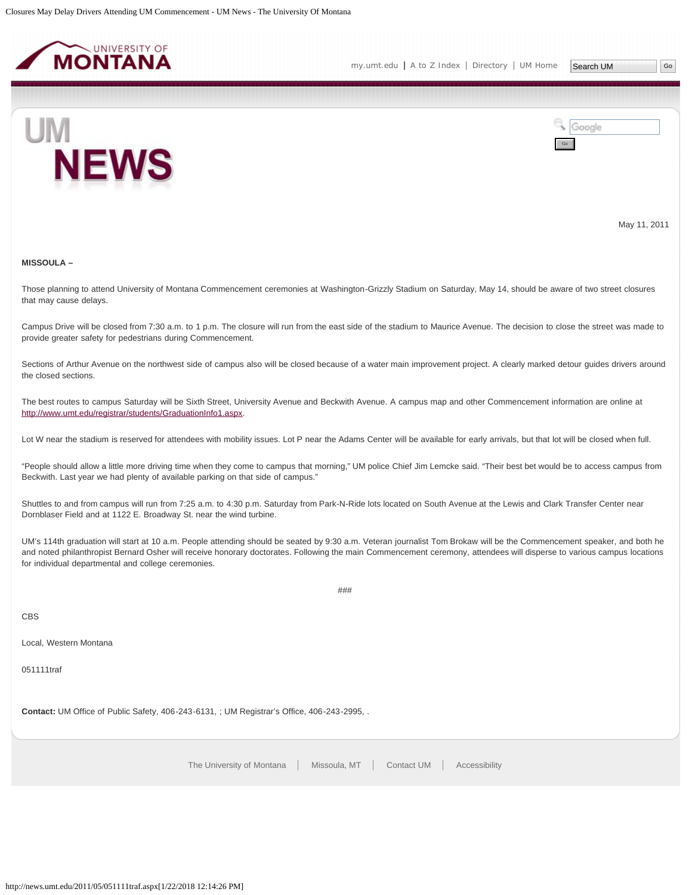<span id="page-38-0"></span>

Go

Google



May 11, 2011

#### **MISSOULA –**

Those planning to attend University of Montana Commencement ceremonies at Washington-Grizzly Stadium on Saturday, May 14, should be aware of two street closures that may cause delays.

Campus Drive will be closed from 7:30 a.m. to 1 p.m. The closure will run from the east side of the stadium to Maurice Avenue. The decision to close the street was made to provide greater safety for pedestrians during Commencement.

Sections of Arthur Avenue on the northwest side of campus also will be closed because of a water main improvement project. A clearly marked detour guides drivers around the closed sections.

The best routes to campus Saturday will be Sixth Street, University Avenue and Beckwith Avenue. A campus map and other Commencement information are online at <http://www.umt.edu/registrar/students/GraduationInfo1.aspx>.

Lot W near the stadium is reserved for attendees with mobility issues. Lot P near the Adams Center will be available for early arrivals, but that lot will be closed when full.

"People should allow a little more driving time when they come to campus that morning," UM police Chief Jim Lemcke said. "Their best bet would be to access campus from Beckwith. Last year we had plenty of available parking on that side of campus."

Shuttles to and from campus will run from 7:25 a.m. to 4:30 p.m. Saturday from Park-N-Ride lots located on South Avenue at the Lewis and Clark Transfer Center near Dornblaser Field and at 1122 E. Broadway St. near the wind turbine.

UM's 114th graduation will start at 10 a.m. People attending should be seated by 9:30 a.m. Veteran journalist Tom Brokaw will be the Commencement speaker, and both he and noted philanthropist Bernard Osher will receive honorary doctorates. Following the main Commencement ceremony, attendees will disperse to various campus locations for individual departmental and college ceremonies.

###

CBS

Local, Western Montana

051111traf

**Contact:** UM Office of Public Safety, 406-243-6131, ; UM Registrar's Office, 406-243-2995, .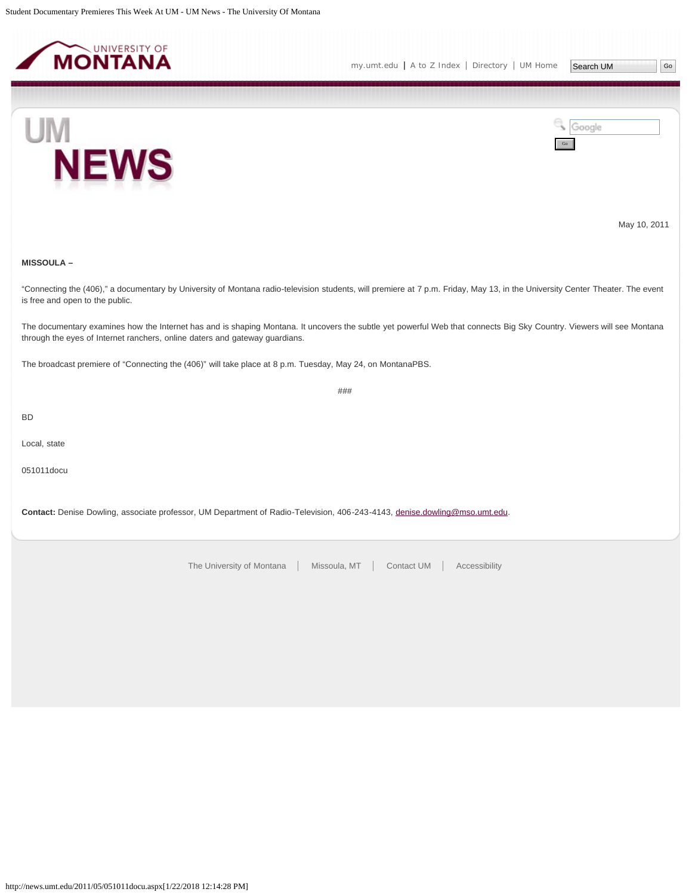<span id="page-39-0"></span>



May 10, 2011

# **MISSOULA –**

"Connecting the (406)," a documentary by University of Montana radio-television students, will premiere at 7 p.m. Friday, May 13, in the University Center Theater. The event is free and open to the public.

The documentary examines how the Internet has and is shaping Montana. It uncovers the subtle yet powerful Web that connects Big Sky Country. Viewers will see Montana through the eyes of Internet ranchers, online daters and gateway guardians.

###

The broadcast premiere of "Connecting the (406)" will take place at 8 p.m. Tuesday, May 24, on MontanaPBS.

BD

Local, state

051011docu

**Contact:** Denise Dowling, associate professor, UM Department of Radio-Television, 406-243-4143, [denise.dowling@mso.umt.edu](mailto:denise.dowling@mso.umt.edu).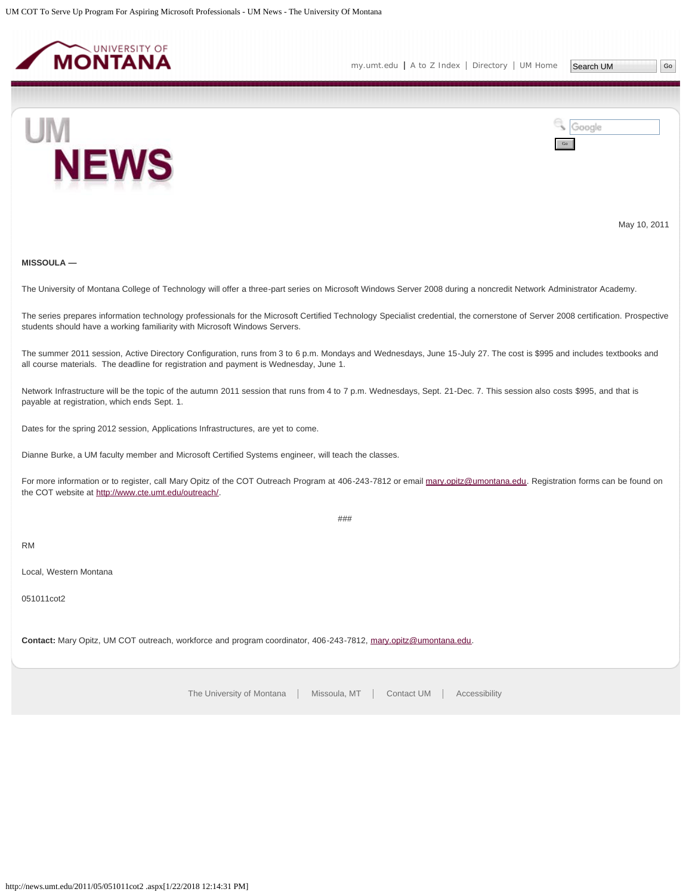<span id="page-40-0"></span>



May 10, 2011

# **MISSOULA —**

The University of Montana College of Technology will offer a three-part series on Microsoft Windows Server 2008 during a noncredit Network Administrator Academy.

The series prepares information technology professionals for the Microsoft Certified Technology Specialist credential, the cornerstone of Server 2008 certification. Prospective students should have a working familiarity with Microsoft Windows Servers.

The summer 2011 session, Active Directory Configuration, runs from 3 to 6 p.m. Mondays and Wednesdays, June 15-July 27. The cost is \$995 and includes textbooks and all course materials. The deadline for registration and payment is Wednesday, June 1.

Network Infrastructure will be the topic of the autumn 2011 session that runs from 4 to 7 p.m. Wednesdays, Sept. 21-Dec. 7. This session also costs \$995, and that is payable at registration, which ends Sept. 1.

Dates for the spring 2012 session, Applications Infrastructures, are yet to come.

Dianne Burke, a UM faculty member and Microsoft Certified Systems engineer, will teach the classes.

For more information or to register, call Mary Opitz of the COT Outreach Program at 406-243-7812 or email [mary.opitz@umontana.edu](mailto:mary.opitz@umontana.edu). Registration forms can be found on the COT website at<http://www.cte.umt.edu/outreach/>.

###

## RM

Local, Western Montana

051011cot2

**Contact:** Mary Opitz, UM COT outreach, workforce and program coordinator, 406-243-7812, [mary.opitz@umontana.edu](mailto:mary.opitz@umontana.edu).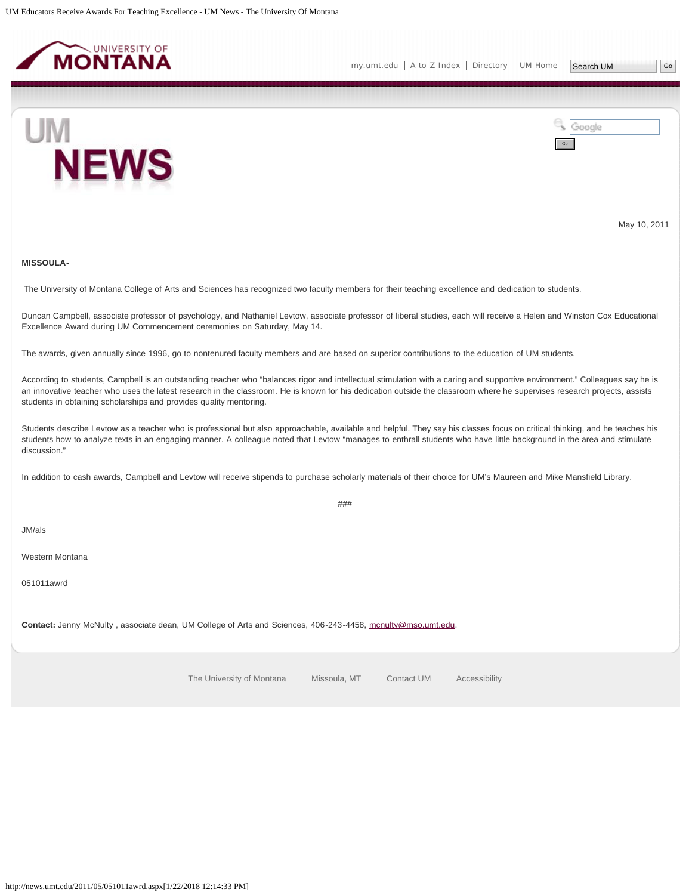<span id="page-41-0"></span>



May 10, 2011

# **MISSOULA-**

The University of Montana College of Arts and Sciences has recognized two faculty members for their teaching excellence and dedication to students.

Duncan Campbell, associate professor of psychology, and Nathaniel Levtow, associate professor of liberal studies, each will receive a Helen and Winston Cox Educational Excellence Award during UM Commencement ceremonies on Saturday, May 14.

The awards, given annually since 1996, go to nontenured faculty members and are based on superior contributions to the education of UM students.

According to students, Campbell is an outstanding teacher who "balances rigor and intellectual stimulation with a caring and supportive environment." Colleagues say he is an innovative teacher who uses the latest research in the classroom. He is known for his dedication outside the classroom where he supervises research projects, assists students in obtaining scholarships and provides quality mentoring.

Students describe Levtow as a teacher who is professional but also approachable, available and helpful. They say his classes focus on critical thinking, and he teaches his students how to analyze texts in an engaging manner. A colleague noted that Levtow "manages to enthrall students who have little background in the area and stimulate discussion."

In addition to cash awards, Campbell and Levtow will receive stipends to purchase scholarly materials of their choice for UM's Maureen and Mike Mansfield Library.

###

JM/als

Western Montana

051011awrd

**Contact:** Jenny McNulty , associate dean, UM College of Arts and Sciences, 406-243-4458, [mcnulty@mso.umt.edu.](mailto:mcnulty@mso.umt.edu)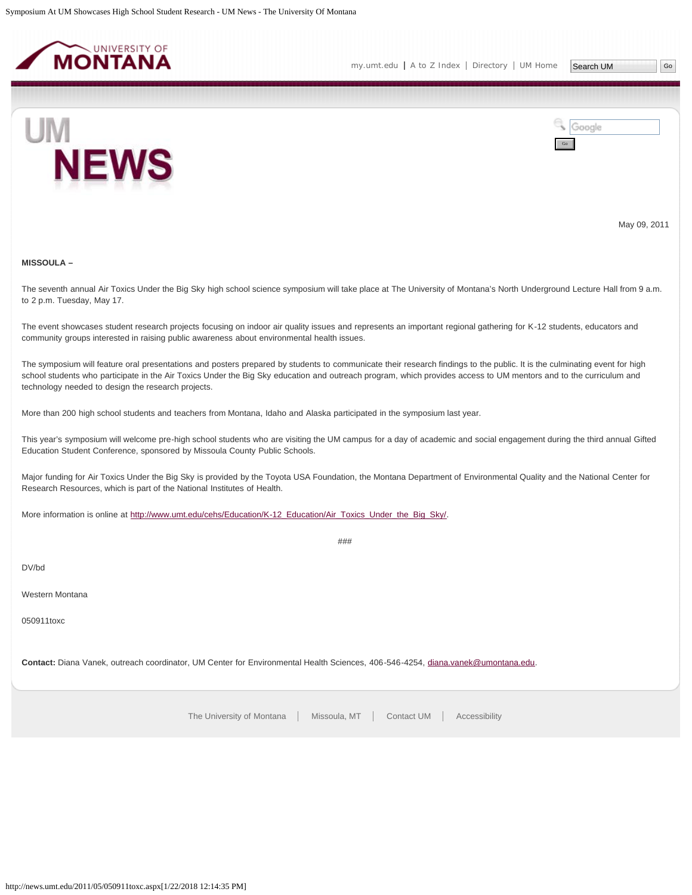<span id="page-42-0"></span>



May 09, 2011

#### **MISSOULA –**

The seventh annual Air Toxics Under the Big Sky high school science symposium will take place at The University of Montana's North Underground Lecture Hall from 9 a.m. to 2 p.m. Tuesday, May 17.

The event showcases student research projects focusing on indoor air quality issues and represents an important regional gathering for K-12 students, educators and community groups interested in raising public awareness about environmental health issues.

The symposium will feature oral presentations and posters prepared by students to communicate their research findings to the public. It is the culminating event for high school students who participate in the Air Toxics Under the Big Sky education and outreach program, which provides access to UM mentors and to the curriculum and technology needed to design the research projects.

More than 200 high school students and teachers from Montana, Idaho and Alaska participated in the symposium last year.

This year's symposium will welcome pre-high school students who are visiting the UM campus for a day of academic and social engagement during the third annual Gifted Education Student Conference, sponsored by Missoula County Public Schools.

Major funding for Air Toxics Under the Big Sky is provided by the Toyota USA Foundation, the Montana Department of Environmental Quality and the National Center for Research Resources, which is part of the National Institutes of Health.

More information is online at [http://www.umt.edu/cehs/Education/K-12\\_Education/Air\\_Toxics\\_Under\\_the\\_Big\\_Sky/](http://www.umt.edu/cehs/Education/K-12_Education/Air_Toxics_Under_the_Big_Sky/).

###

DV/bd

Western Montana

050911toxc

**Contact:** Diana Vanek, outreach coordinator, UM Center for Environmental Health Sciences, 406-546-4254, [diana.vanek@umontana.edu.](mailto:diana.vanek@umontana.edu)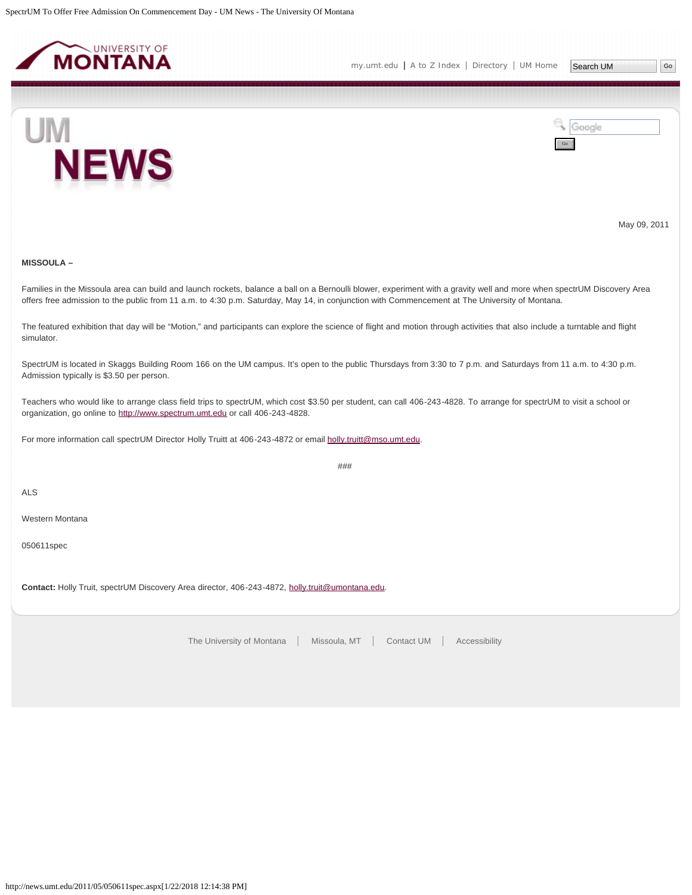<span id="page-43-0"></span>



May 09, 2011

# **MISSOULA –**

Families in the Missoula area can build and launch rockets, balance a ball on a Bernoulli blower, experiment with a gravity well and more when spectrUM Discovery Area offers free admission to the public from 11 a.m. to 4:30 p.m. Saturday, May 14, in conjunction with Commencement at The University of Montana.

The featured exhibition that day will be "Motion," and participants can explore the science of flight and motion through activities that also include a turntable and flight simulator.

SpectrUM is located in Skaggs Building Room 166 on the UM campus. It's open to the public Thursdays from 3:30 to 7 p.m. and Saturdays from 11 a.m. to 4:30 p.m. Admission typically is \$3.50 per person.

Teachers who would like to arrange class field trips to spectrUM, which cost \$3.50 per student, can call 406-243-4828. To arrange for spectrUM to visit a school or organization, go online to [http://www.spectrum.umt.edu](http://www.spectrum.umt.edu/) or call 406-243-4828.

For more information call spectrUM Director Holly Truitt at 406-243-4872 or email [holly.truitt@mso.umt.edu.](mailto:holly.truitt@mso.umt.edu)

###

ALS

Western Montana

050611spec

**Contact:** Holly Truit, spectrUM Discovery Area director, 406-243-4872, [holly.truit@umontana.edu](mailto:holly.truit@umontana.edu).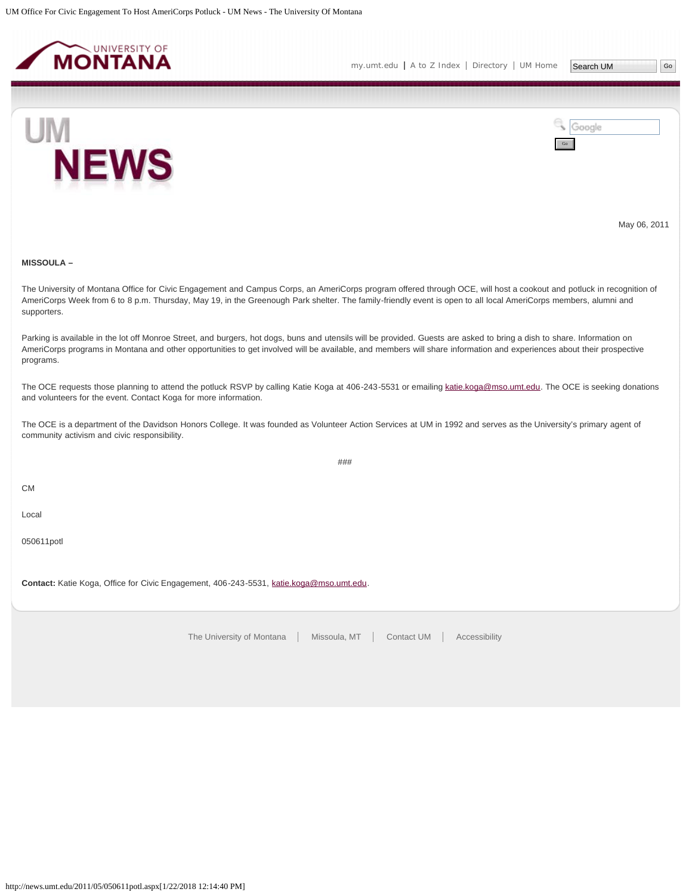<span id="page-44-0"></span>



May 06, 2011

# **MISSOULA –**

The University of Montana Office for Civic Engagement and Campus Corps, an AmeriCorps program offered through OCE, will host a cookout and potluck in recognition of AmeriCorps Week from 6 to 8 p.m. Thursday, May 19, in the Greenough Park shelter. The family-friendly event is open to all local AmeriCorps members, alumni and supporters.

Parking is available in the lot off Monroe Street, and burgers, hot dogs, buns and utensils will be provided. Guests are asked to bring a dish to share. Information on AmeriCorps programs in Montana and other opportunities to get involved will be available, and members will share information and experiences about their prospective programs.

The OCE requests those planning to attend the potluck RSVP by calling Katie Koga at 406-243-5531 or emailing [katie.koga@mso.umt.edu](mailto:katie.koga@mso.umt.edu). The OCE is seeking donations and volunteers for the event. Contact Koga for more information.

The OCE is a department of the Davidson Honors College. It was founded as Volunteer Action Services at UM in 1992 and serves as the University's primary agent of community activism and civic responsibility.

###

CM

Local

050611potl

**Contact:** Katie Koga, Office for Civic Engagement, 406-243-5531, [katie.koga@mso.umt.edu.](mailto:katie.koga@mso.umt.edu)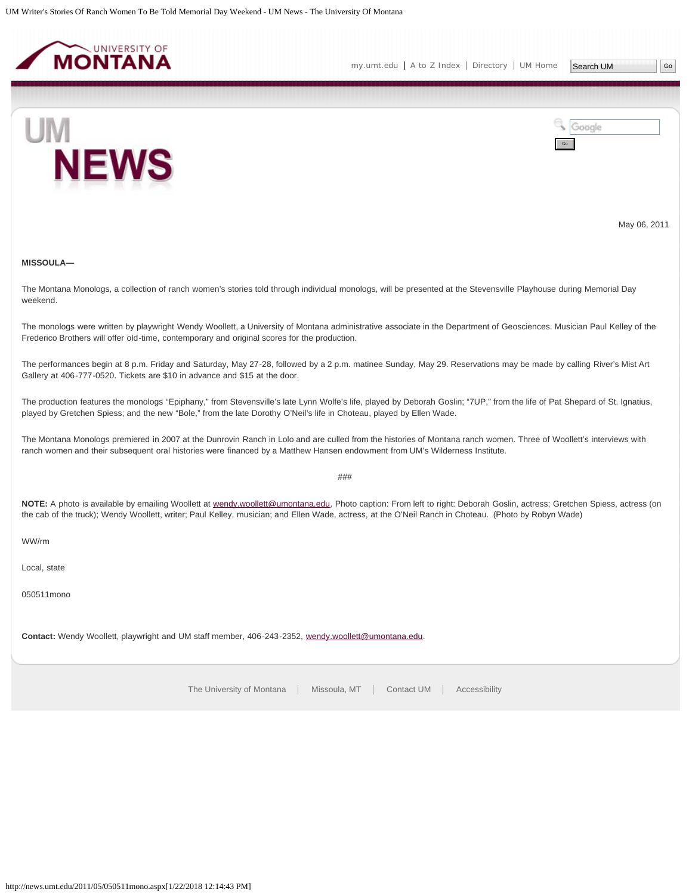<span id="page-45-0"></span>





May 06, 2011

## **MISSOULA—**

The Montana Monologs, a collection of ranch women's stories told through individual monologs, will be presented at the Stevensville Playhouse during Memorial Day weekend.

The monologs were written by playwright Wendy Woollett, a University of Montana administrative associate in the Department of Geosciences. Musician Paul Kelley of the Frederico Brothers will offer old-time, contemporary and original scores for the production.

The performances begin at 8 p.m. Friday and Saturday, May 27-28, followed by a 2 p.m. matinee Sunday, May 29. Reservations may be made by calling River's Mist Art Gallery at 406-777-0520. Tickets are \$10 in advance and \$15 at the door.

The production features the monologs "Epiphany," from Stevensville's late Lynn Wolfe's life, played by Deborah Goslin; "7UP," from the life of Pat Shepard of St. Ignatius, played by Gretchen Spiess; and the new "Bole," from the late Dorothy O'Neil's life in Choteau, played by Ellen Wade.

The Montana Monologs premiered in 2007 at the Dunrovin Ranch in Lolo and are culled from the histories of Montana ranch women. Three of Woollett's interviews with ranch women and their subsequent oral histories were financed by a Matthew Hansen endowment from UM's Wilderness Institute.

###

NOTE: A photo is available by emailing Woollett at [wendy.woollett@umontana.edu.](mailto:wendy.woollett@umontana.edu) Photo caption: From left to right: Deborah Goslin, actress; Gretchen Spiess, actress (on the cab of the truck); Wendy Woollett, writer; Paul Kelley, musician; and Ellen Wade, actress, at the O'Neil Ranch in Choteau. (Photo by Robyn Wade)

WW/rm

Local, state

050511mono

**Contact:** Wendy Woollett, playwright and UM staff member, 406-243-2352, [wendy.woollett@umontana.edu.](mailto:wendy.woollett@umontana.edu)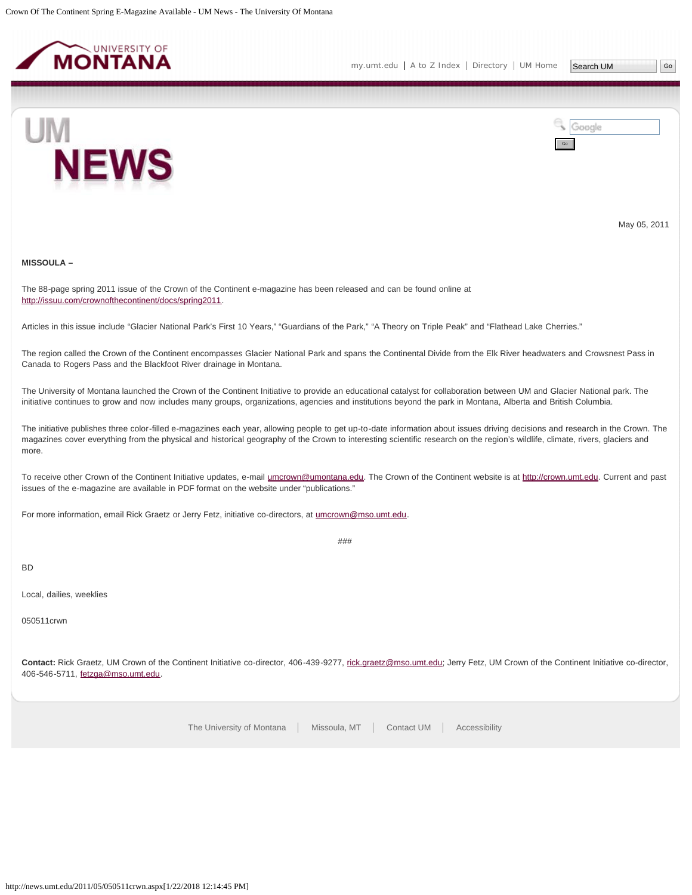<span id="page-46-0"></span>



May 05, 2011

#### **MISSOULA –**

The 88-page spring 2011 issue of the Crown of the Continent e-magazine has been released and can be found online at <http://issuu.com/crownofthecontinent/docs/spring2011>.

Articles in this issue include "Glacier National Park's First 10 Years," "Guardians of the Park," "A Theory on Triple Peak" and "Flathead Lake Cherries."

The region called the Crown of the Continent encompasses Glacier National Park and spans the Continental Divide from the Elk River headwaters and Crowsnest Pass in Canada to Rogers Pass and the Blackfoot River drainage in Montana.

The University of Montana launched the Crown of the Continent Initiative to provide an educational catalyst for collaboration between UM and Glacier National park. The initiative continues to grow and now includes many groups, organizations, agencies and institutions beyond the park in Montana, Alberta and British Columbia.

The initiative publishes three color-filled e-magazines each year, allowing people to get up-to-date information about issues driving decisions and research in the Crown. The magazines cover everything from the physical and historical geography of the Crown to interesting scientific research on the region's wildlife, climate, rivers, glaciers and more.

To receive other Crown of the Continent Initiative updates, e-mail *umcrown@umontana.edu*. The Crown of the Continent website is at [http://crown.umt.edu](http://crown.umt.edu/). Current and past issues of the e-magazine are available in PDF format on the website under "publications."

For more information, email Rick Graetz or Jerry Fetz, initiative co-directors, at [umcrown@mso.umt.edu](mailto:umcrown@mso.umt.edu).

###

BD

Local, dailies, weeklies

050511crwn

**Contact:** Rick Graetz, UM Crown of the Continent Initiative co-director, 406-439-9277, [rick.graetz@mso.umt.edu](mailto:rick.graetz@mso.umt.edu); Jerry Fetz, UM Crown of the Continent Initiative co-director, 406-546-5711, [fetzga@mso.umt.edu.](mailto:fetzga@mso.umt.edu)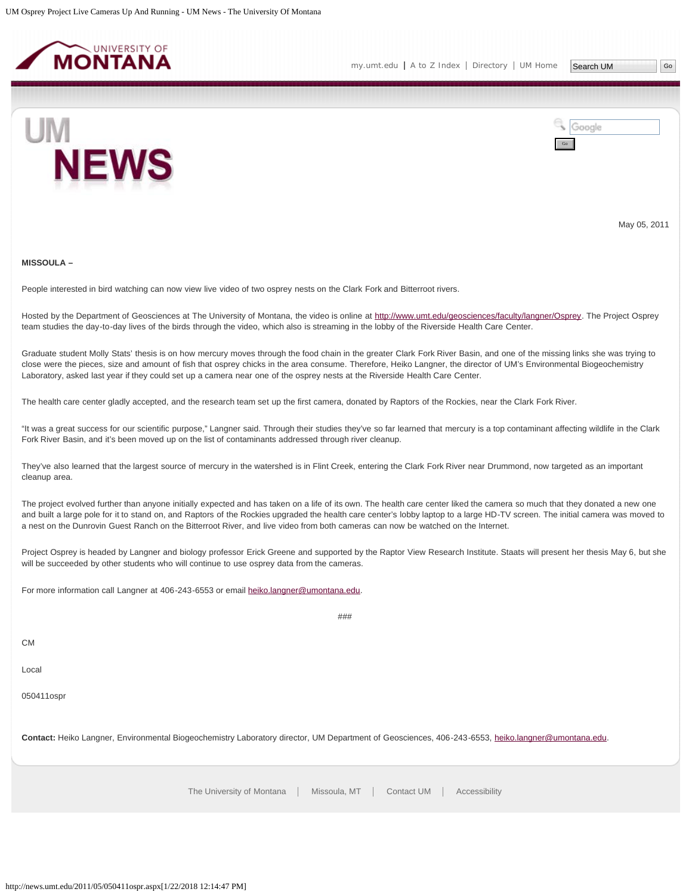<span id="page-47-0"></span>



May 05, 2011

#### **MISSOULA –**

People interested in bird watching can now view live video of two osprey nests on the Clark Fork and Bitterroot rivers.

Hosted by the Department of Geosciences at The University of Montana, the video is online at [http://www.umt.edu/geosciences/faculty/langner/Osprey.](http://www.umt.edu/geosciences/faculty/langner/Osprey) The Project Osprey team studies the day-to-day lives of the birds through the video, which also is streaming in the lobby of the Riverside Health Care Center.

Graduate student Molly Stats' thesis is on how mercury moves through the food chain in the greater Clark Fork River Basin, and one of the missing links she was trying to close were the pieces, size and amount of fish that osprey chicks in the area consume. Therefore, Heiko Langner, the director of UM's Environmental Biogeochemistry Laboratory, asked last year if they could set up a camera near one of the osprey nests at the Riverside Health Care Center.

The health care center gladly accepted, and the research team set up the first camera, donated by Raptors of the Rockies, near the Clark Fork River.

"It was a great success for our scientific purpose," Langner said. Through their studies they've so far learned that mercury is a top contaminant affecting wildlife in the Clark Fork River Basin, and it's been moved up on the list of contaminants addressed through river cleanup.

They've also learned that the largest source of mercury in the watershed is in Flint Creek, entering the Clark Fork River near Drummond, now targeted as an important cleanup area.

The project evolved further than anyone initially expected and has taken on a life of its own. The health care center liked the camera so much that they donated a new one and built a large pole for it to stand on, and Raptors of the Rockies upgraded the health care center's lobby laptop to a large HD-TV screen. The initial camera was moved to a nest on the Dunrovin Guest Ranch on the Bitterroot River, and live video from both cameras can now be watched on the Internet.

Project Osprey is headed by Langner and biology professor Erick Greene and supported by the Raptor View Research Institute. Staats will present her thesis May 6, but she will be succeeded by other students who will continue to use osprey data from the cameras.

###

For more information call Langner at 406-243-6553 or email [heiko.langner@umontana.edu.](mailto:heiko.langner@umontana.edu)

C<sub>M</sub>

Local

050411ospr

**Contact:** Heiko Langner, Environmental Biogeochemistry Laboratory director, UM Department of Geosciences, 406-243-6553, [heiko.langner@umontana.edu](mailto:heiko.langner@umontana.edu).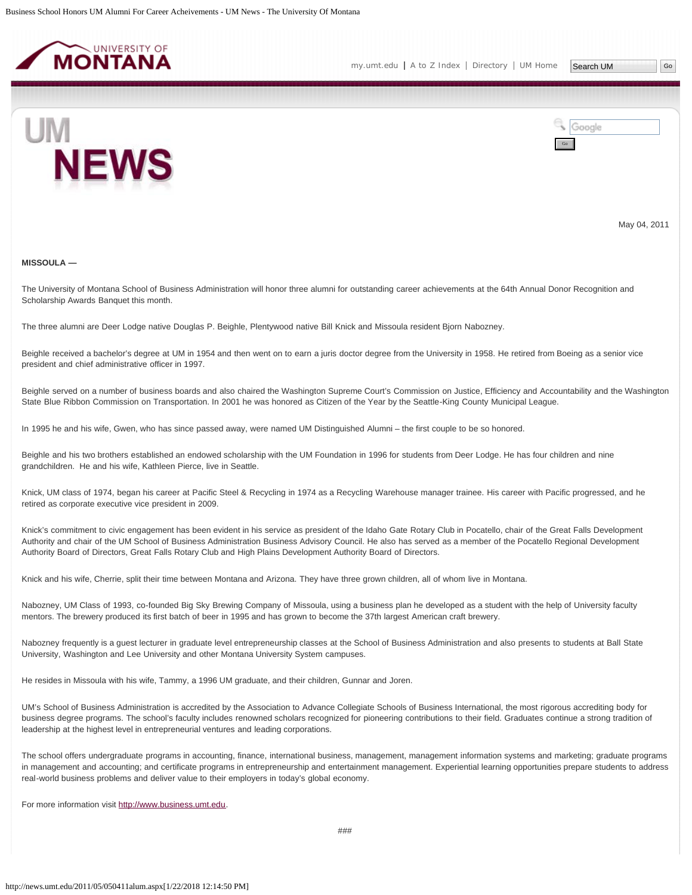<span id="page-48-0"></span>



May 04, 2011

#### **MISSOULA —**

The University of Montana School of Business Administration will honor three alumni for outstanding career achievements at the 64th Annual Donor Recognition and Scholarship Awards Banquet this month.

The three alumni are Deer Lodge native Douglas P. Beighle, Plentywood native Bill Knick and Missoula resident Bjorn Nabozney.

Beighle received a bachelor's degree at UM in 1954 and then went on to earn a juris doctor degree from the University in 1958. He retired from Boeing as a senior vice president and chief administrative officer in 1997.

Beighle served on a number of business boards and also chaired the Washington Supreme Court's Commission on Justice, Efficiency and Accountability and the Washington State Blue Ribbon Commission on Transportation. In 2001 he was honored as Citizen of the Year by the Seattle-King County Municipal League.

In 1995 he and his wife, Gwen, who has since passed away, were named UM Distinguished Alumni – the first couple to be so honored.

Beighle and his two brothers established an endowed scholarship with the UM Foundation in 1996 for students from Deer Lodge. He has four children and nine grandchildren. He and his wife, Kathleen Pierce, live in Seattle.

Knick, UM class of 1974, began his career at Pacific Steel & Recycling in 1974 as a Recycling Warehouse manager trainee. His career with Pacific progressed, and he retired as corporate executive vice president in 2009.

Knick's commitment to civic engagement has been evident in his service as president of the Idaho Gate Rotary Club in Pocatello, chair of the Great Falls Development Authority and chair of the UM School of Business Administration Business Advisory Council. He also has served as a member of the Pocatello Regional Development Authority Board of Directors, Great Falls Rotary Club and High Plains Development Authority Board of Directors.

Knick and his wife, Cherrie, split their time between Montana and Arizona. They have three grown children, all of whom live in Montana.

Nabozney, UM Class of 1993, co-founded Big Sky Brewing Company of Missoula, using a business plan he developed as a student with the help of University faculty mentors. The brewery produced its first batch of beer in 1995 and has grown to become the 37th largest American craft brewery.

Nabozney frequently is a guest lecturer in graduate level entrepreneurship classes at the School of Business Administration and also presents to students at Ball State University, Washington and Lee University and other Montana University System campuses.

He resides in Missoula with his wife, Tammy, a 1996 UM graduate, and their children, Gunnar and Joren.

UM's School of Business Administration is accredited by the Association to Advance Collegiate Schools of Business International, the most rigorous accrediting body for business degree programs. The school's faculty includes renowned scholars recognized for pioneering contributions to their field. Graduates continue a strong tradition of leadership at the highest level in entrepreneurial ventures and leading corporations.

The school offers undergraduate programs in accounting, finance, international business, management, management information systems and marketing; graduate programs in management and accounting; and certificate programs in entrepreneurship and entertainment management. Experiential learning opportunities prepare students to address real-world business problems and deliver value to their employers in today's global economy.

For more information visit [http://www.business.umt.edu.](http://www.business.umt.edu/)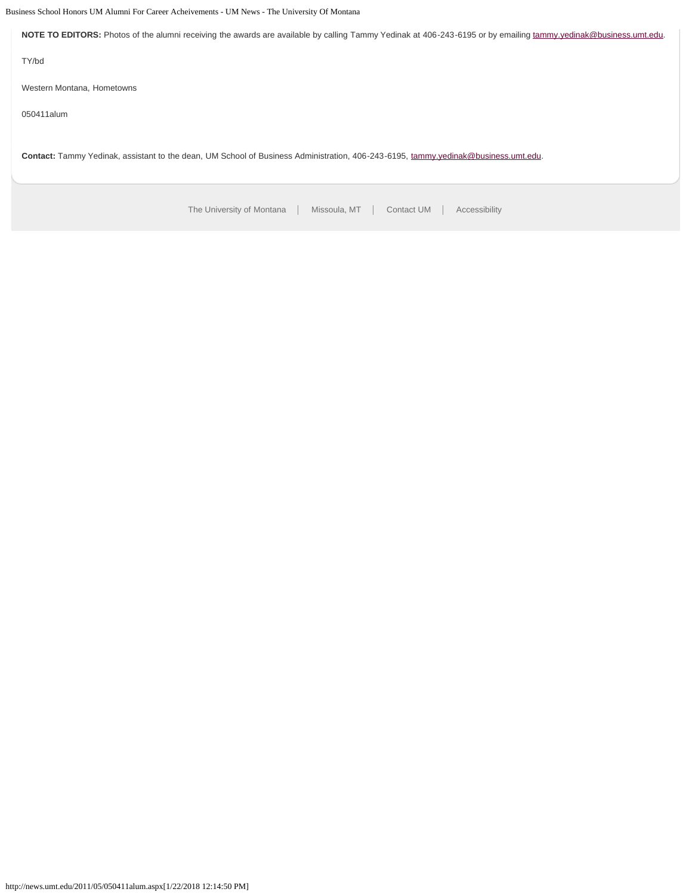Business School Honors UM Alumni For Career Acheivements - UM News - The University Of Montana

NOTE TO EDITORS: Photos of the alumni receiving the awards are available by calling Tammy Yedinak at 406-243-6195 or by emailing [tammy.yedinak@business.umt.edu.](mailto:tammy.yedinak@business.umt.edu)

TY/bd

Western Montana, Hometowns

050411alum

**Contact:** Tammy Yedinak, assistant to the dean, UM School of Business Administration, 406-243-6195, [tammy.yedinak@business.umt.edu](mailto:tammy.yedinak@business.umt.edu).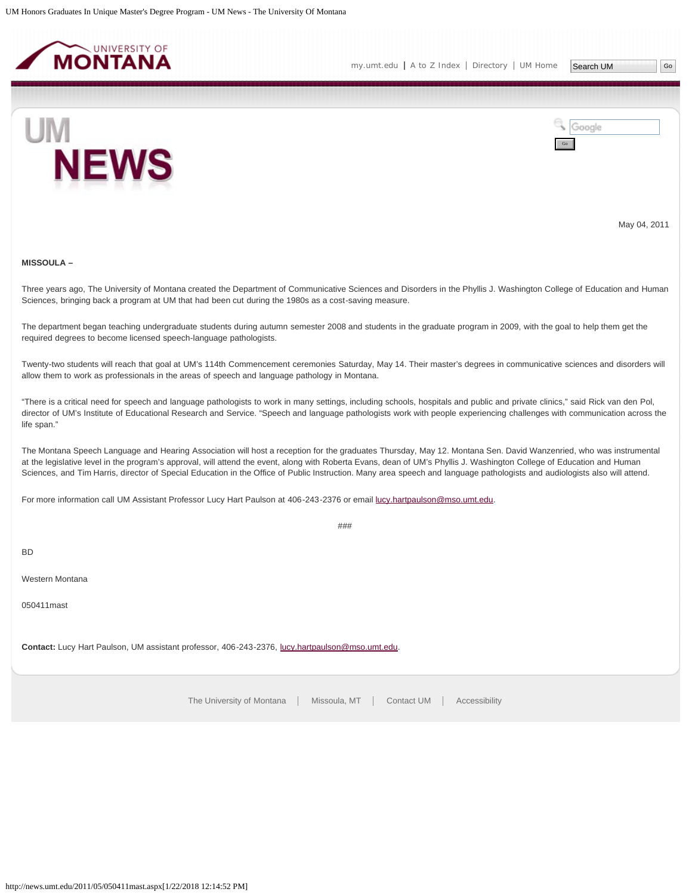<span id="page-50-0"></span>



May 04, 2011

## **MISSOULA –**

Three years ago, The University of Montana created the Department of Communicative Sciences and Disorders in the Phyllis J. Washington College of Education and Human Sciences, bringing back a program at UM that had been cut during the 1980s as a cost-saving measure.

The department began teaching undergraduate students during autumn semester 2008 and students in the graduate program in 2009, with the goal to help them get the required degrees to become licensed speech-language pathologists.

Twenty-two students will reach that goal at UM's 114th Commencement ceremonies Saturday, May 14. Their master's degrees in communicative sciences and disorders will allow them to work as professionals in the areas of speech and language pathology in Montana.

"There is a critical need for speech and language pathologists to work in many settings, including schools, hospitals and public and private clinics," said Rick van den Pol, director of UM's Institute of Educational Research and Service. "Speech and language pathologists work with people experiencing challenges with communication across the life span."

The Montana Speech Language and Hearing Association will host a reception for the graduates Thursday, May 12. Montana Sen. David Wanzenried, who was instrumental at the legislative level in the program's approval, will attend the event, along with Roberta Evans, dean of UM's Phyllis J. Washington College of Education and Human Sciences, and Tim Harris, director of Special Education in the Office of Public Instruction. Many area speech and language pathologists and audiologists also will attend.

For more information call UM Assistant Professor Lucy Hart Paulson at 406-243-2376 or email [lucy.hartpaulson@mso.umt.edu](mailto:lucy.hartpaulson@mso.umt.edu).

###

BD

Western Montana

050411mast

**Contact:** Lucy Hart Paulson, UM assistant professor, 406-243-2376, [lucy.hartpaulson@mso.umt.edu](mailto:lucy.hartpaulson@mso.umt.edu).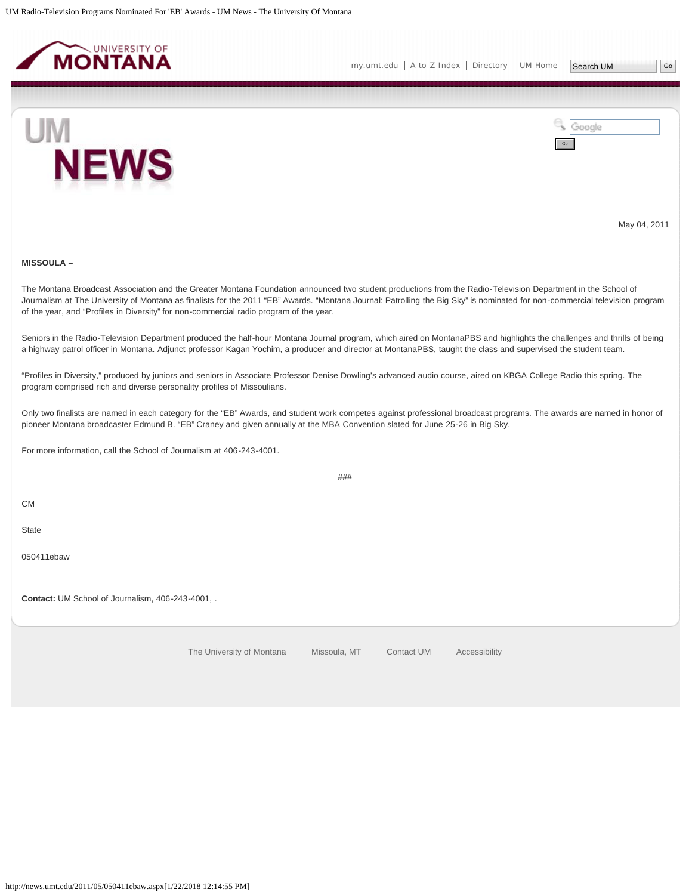<span id="page-51-0"></span>



May 04, 2011

# **MISSOULA –**

The Montana Broadcast Association and the Greater Montana Foundation announced two student productions from the Radio-Television Department in the School of Journalism at The University of Montana as finalists for the 2011 "EB" Awards. "Montana Journal: Patrolling the Big Sky" is nominated for non-commercial television program of the year, and "Profiles in Diversity" for non-commercial radio program of the year.

Seniors in the Radio-Television Department produced the half-hour Montana Journal program, which aired on MontanaPBS and highlights the challenges and thrills of being a highway patrol officer in Montana. Adjunct professor Kagan Yochim, a producer and director at MontanaPBS, taught the class and supervised the student team.

"Profiles in Diversity," produced by juniors and seniors in Associate Professor Denise Dowling's advanced audio course, aired on KBGA College Radio this spring. The program comprised rich and diverse personality profiles of Missoulians.

Only two finalists are named in each category for the "EB" Awards, and student work competes against professional broadcast programs. The awards are named in honor of pioneer Montana broadcaster Edmund B. "EB" Craney and given annually at the MBA Convention slated for June 25-26 in Big Sky.

###

For more information, call the School of Journalism at 406-243-4001.

CM

**State** 

050411ebaw

**Contact:** UM School of Journalism, 406-243-4001, .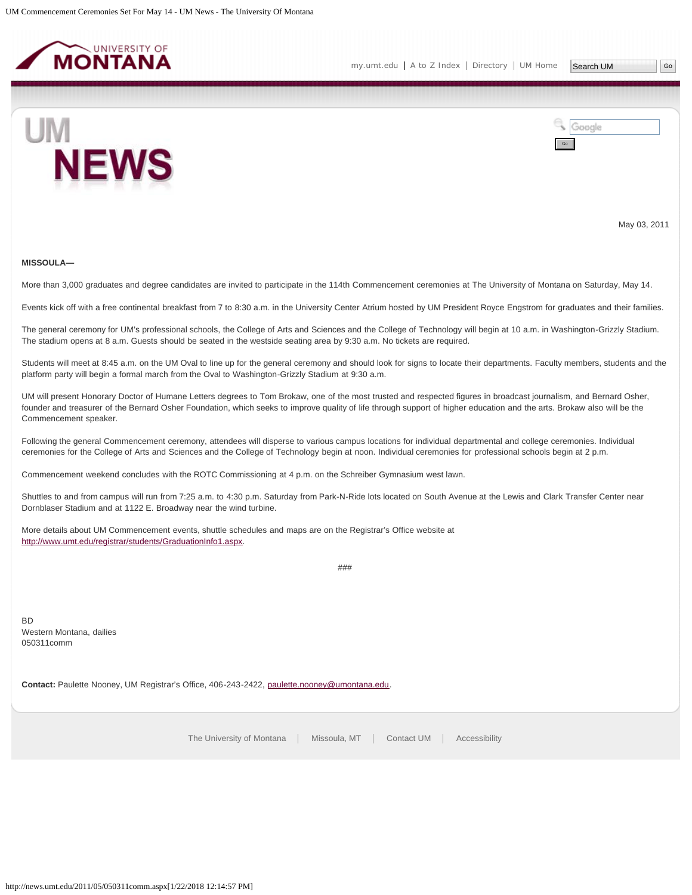<span id="page-52-0"></span>



May 03, 2011

#### **MISSOULA—**

More than 3,000 graduates and degree candidates are invited to participate in the 114th Commencement ceremonies at The University of Montana on Saturday, May 14.

Events kick off with a free continental breakfast from 7 to 8:30 a.m. in the University Center Atrium hosted by UM President Royce Engstrom for graduates and their families.

The general ceremony for UM's professional schools, the College of Arts and Sciences and the College of Technology will begin at 10 a.m. in Washington-Grizzly Stadium. The stadium opens at 8 a.m. Guests should be seated in the westside seating area by 9:30 a.m. No tickets are required.

Students will meet at 8:45 a.m. on the UM Oval to line up for the general ceremony and should look for signs to locate their departments. Faculty members, students and the platform party will begin a formal march from the Oval to Washington-Grizzly Stadium at 9:30 a.m.

UM will present Honorary Doctor of Humane Letters degrees to Tom Brokaw, one of the most trusted and respected figures in broadcast journalism, and Bernard Osher, founder and treasurer of the Bernard Osher Foundation, which seeks to improve quality of life through support of higher education and the arts. Brokaw also will be the Commencement speaker.

Following the general Commencement ceremony, attendees will disperse to various campus locations for individual departmental and college ceremonies. Individual ceremonies for the College of Arts and Sciences and the College of Technology begin at noon. Individual ceremonies for professional schools begin at 2 p.m.

Commencement weekend concludes with the ROTC Commissioning at 4 p.m. on the Schreiber Gymnasium west lawn.

Shuttles to and from campus will run from 7:25 a.m. to 4:30 p.m. Saturday from Park-N-Ride lots located on South Avenue at the Lewis and Clark Transfer Center near Dornblaser Stadium and at 1122 E. Broadway near the wind turbine.

More details about UM Commencement events, shuttle schedules and maps are on the Registrar's Office website at <http://www.umt.edu/registrar/students/GraduationInfo1.aspx>.

###

BD Western Montana, dailies 050311comm

**Contact:** Paulette Nooney, UM Registrar's Office, 406-243-2422, [paulette.nooney@umontana.edu.](mailto:paulette.nooney@umontana.edu)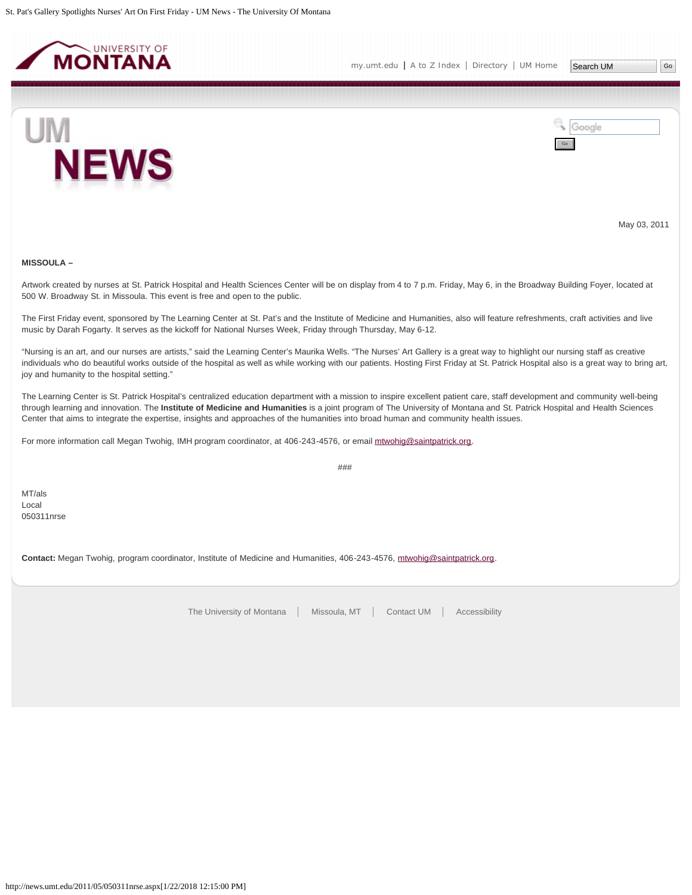<span id="page-53-0"></span>



May 03, 2011

## **MISSOULA –**

Artwork created by nurses at St. Patrick Hospital and Health Sciences Center will be on display from 4 to 7 p.m. Friday, May 6, in the Broadway Building Foyer, located at 500 W. Broadway St. in Missoula. This event is free and open to the public.

The First Friday event, sponsored by The Learning Center at St. Pat's and the Institute of Medicine and Humanities, also will feature refreshments, craft activities and live music by Darah Fogarty. It serves as the kickoff for National Nurses Week, Friday through Thursday, May 6-12.

"Nursing is an art, and our nurses are artists," said the Learning Center's Maurika Wells. "The Nurses' Art Gallery is a great way to highlight our nursing staff as creative individuals who do beautiful works outside of the hospital as well as while working with our patients. Hosting First Friday at St. Patrick Hospital also is a great way to bring art, joy and humanity to the hospital setting."

The Learning Center is St. Patrick Hospital's centralized education department with a mission to inspire excellent patient care, staff development and community well-being through learning and innovation. The **Institute of Medicine and Humanities** is a joint program of The University of Montana and St. Patrick Hospital and Health Sciences Center that aims to integrate the expertise, insights and approaches of the humanities into broad human and community health issues.

For more information call Megan Twohig, IMH program coordinator, at 406-243-4576, or email [mtwohig@saintpatrick.org.](mailto:mtwohig@saintpatrick.org)

###

MT/als Local 050311nrse

**Contact:** Megan Twohig, program coordinator, Institute of Medicine and Humanities, 406-243-4576, [mtwohig@saintpatrick.org.](mailto:mtwohig@saintpatrick.org)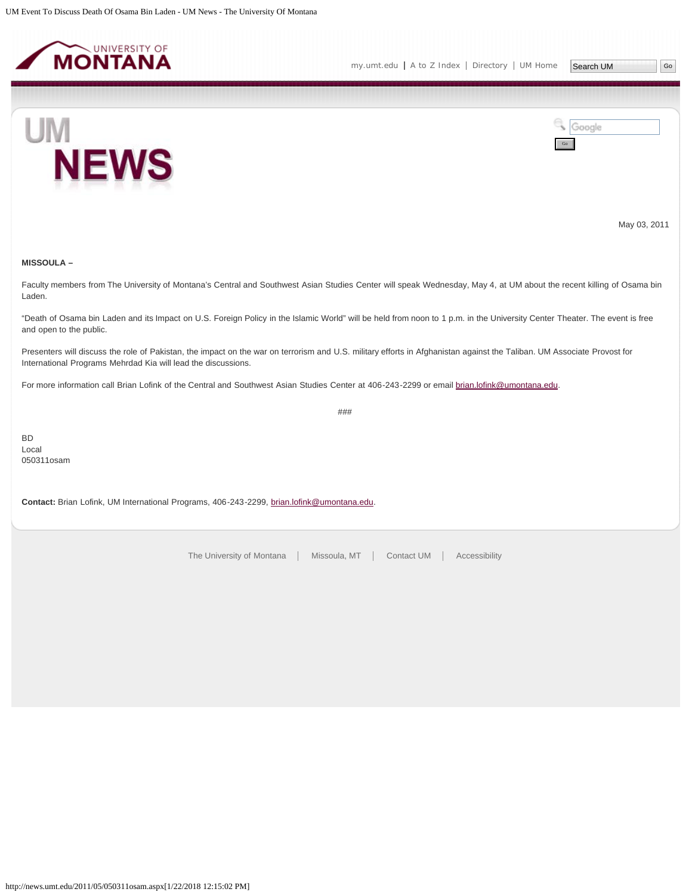<span id="page-54-0"></span>



May 03, 2011

# **MISSOULA –**

Faculty members from The University of Montana's Central and Southwest Asian Studies Center will speak Wednesday, May 4, at UM about the recent killing of Osama bin Laden.

"Death of Osama bin Laden and its Impact on U.S. Foreign Policy in the Islamic World" will be held from noon to 1 p.m. in the University Center Theater. The event is free and open to the public.

Presenters will discuss the role of Pakistan, the impact on the war on terrorism and U.S. military efforts in Afghanistan against the Taliban. UM Associate Provost for International Programs Mehrdad Kia will lead the discussions.

For more information call Brian Lofink of the Central and Southwest Asian Studies Center at 406-243-2299 or email [brian.lofink@umontana.edu.](mailto:brian.lofink@umontana.edu)

###

BD Local 050311osam

Contact: Brian Lofink, UM International Programs, 406-243-2299, [brian.lofink@umontana.edu.](mailto:brian.lofink@umontana.edu)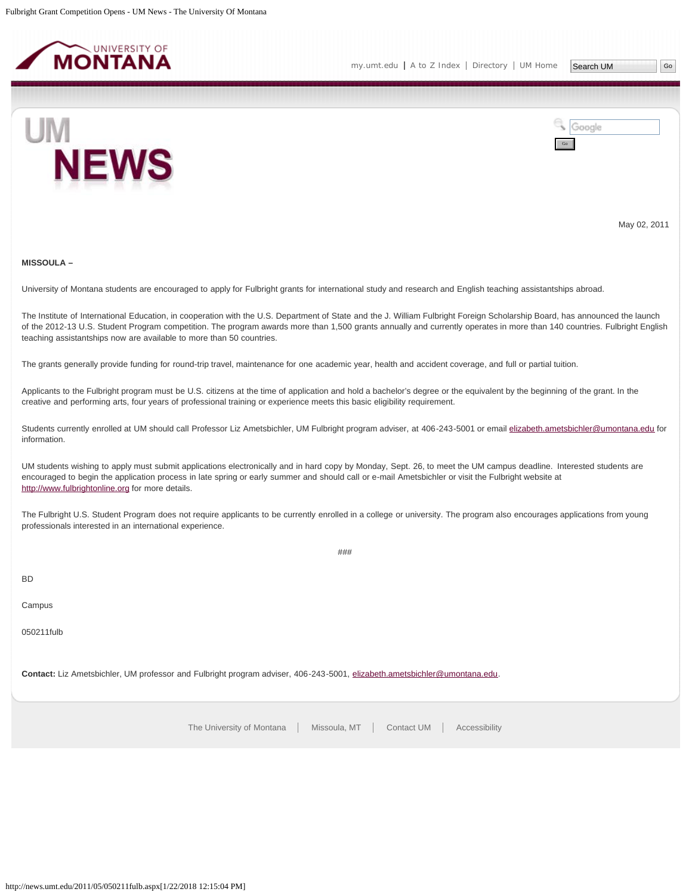<span id="page-55-0"></span>



May 02, 2011

#### **MISSOULA –**

University of Montana students are encouraged to apply for Fulbright grants for international study and research and English teaching assistantships abroad.

The Institute of International Education, in cooperation with the U.S. Department of State and the J. William Fulbright Foreign Scholarship Board, has announced the launch of the 2012-13 U.S. Student Program competition. The program awards more than 1,500 grants annually and currently operates in more than 140 countries. Fulbright English teaching assistantships now are available to more than 50 countries.

The grants generally provide funding for round-trip travel, maintenance for one academic year, health and accident coverage, and full or partial tuition.

Applicants to the Fulbright program must be U.S. citizens at the time of application and hold a bachelor's degree or the equivalent by the beginning of the grant. In the creative and performing arts, four years of professional training or experience meets this basic eligibility requirement.

Students currently enrolled at UM should call Professor Liz Ametsbichler, UM Fulbright program adviser, at 406-243-5001 or email [elizabeth.ametsbichler@umontana.edu](mailto:elizabeth.ametsbichler@umontana.edu) for information.

UM students wishing to apply must submit applications electronically and in hard copy by Monday, Sept. 26, to meet the UM campus deadline. Interested students are encouraged to begin the application process in late spring or early summer and should call or e-mail Ametsbichler or visit the Fulbright website at [http://www.fulbrightonline.org](https://messaging.umt.edu/exchweb/bin/redir.asp?URL=http://www.fulbrightonline.org) for more details.

The Fulbright U.S. Student Program does not require applicants to be currently enrolled in a college or university. The program also encourages applications from young professionals interested in an international experience.

###

BD

Campus

050211fulb

**Contact:** Liz Ametsbichler, UM professor and Fulbright program adviser, 406-243-5001, [elizabeth.ametsbichler@umontana.edu.](mailto:elizabeth.ametsbichler@umontana.edu)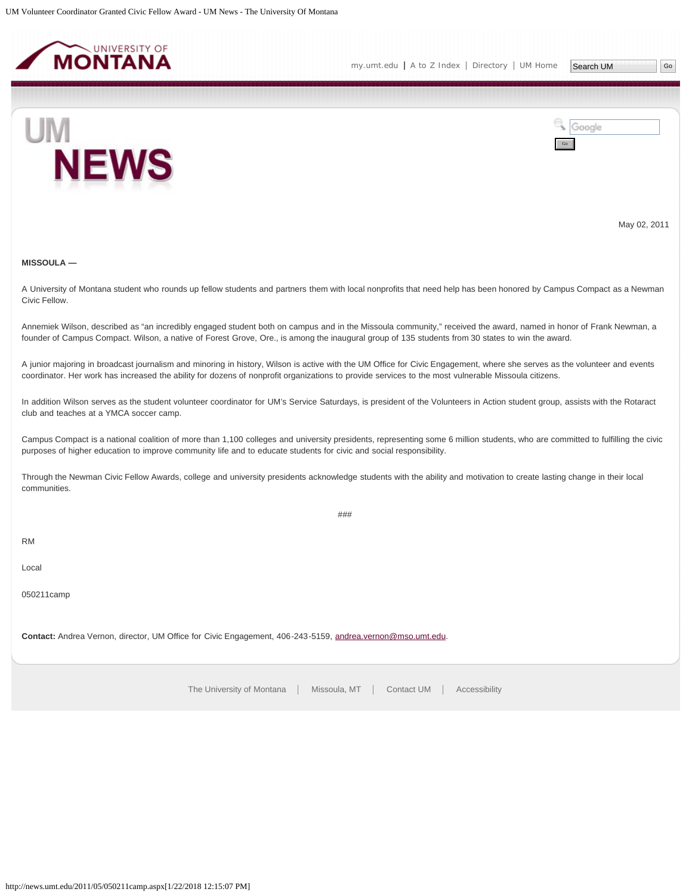<span id="page-56-0"></span>



May 02, 2011

# **MISSOULA —**

A University of Montana student who rounds up fellow students and partners them with local nonprofits that need help has been honored by Campus Compact as a Newman Civic Fellow.

Annemiek Wilson, described as "an incredibly engaged student both on campus and in the Missoula community," received the award, named in honor of Frank Newman, a founder of Campus Compact. Wilson, a native of Forest Grove, Ore., is among the inaugural group of 135 students from 30 states to win the award.

A junior majoring in broadcast journalism and minoring in history, Wilson is active with the UM Office for Civic Engagement, where she serves as the volunteer and events coordinator. Her work has increased the ability for dozens of nonprofit organizations to provide services to the most vulnerable Missoula citizens.

In addition Wilson serves as the student volunteer coordinator for UM's Service Saturdays, is president of the Volunteers in Action student group, assists with the Rotaract club and teaches at a YMCA soccer camp.

Campus Compact is a national coalition of more than 1,100 colleges and university presidents, representing some 6 million students, who are committed to fulfilling the civic purposes of higher education to improve community life and to educate students for civic and social responsibility.

Through the Newman Civic Fellow Awards, college and university presidents acknowledge students with the ability and motivation to create lasting change in their local communities.

 $#HH$ 

RM

Local

050211camp

**Contact:** Andrea Vernon, director, UM Office for Civic Engagement, 406-243-5159, [andrea.vernon@mso.umt.edu.](mailto:andrea.vernon@mso.umt.edu)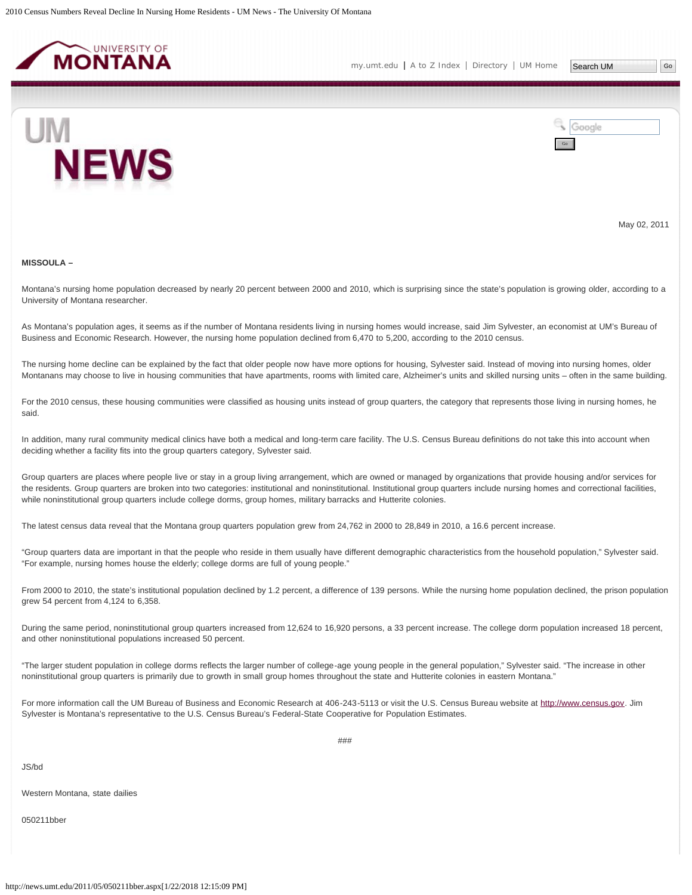<span id="page-57-0"></span>



May 02, 2011

#### **MISSOULA –**

Montana's nursing home population decreased by nearly 20 percent between 2000 and 2010, which is surprising since the state's population is growing older, according to a University of Montana researcher.

As Montana's population ages, it seems as if the number of Montana residents living in nursing homes would increase, said Jim Sylvester, an economist at UM's Bureau of Business and Economic Research. However, the nursing home population declined from 6,470 to 5,200, according to the 2010 census.

The nursing home decline can be explained by the fact that older people now have more options for housing, Sylvester said. Instead of moving into nursing homes, older Montanans may choose to live in housing communities that have apartments, rooms with limited care, Alzheimer's units and skilled nursing units – often in the same building.

For the 2010 census, these housing communities were classified as housing units instead of group quarters, the category that represents those living in nursing homes, he said.

In addition, many rural community medical clinics have both a medical and long-term care facility. The U.S. Census Bureau definitions do not take this into account when deciding whether a facility fits into the group quarters category, Sylvester said.

Group quarters are places where people live or stay in a group living arrangement, which are owned or managed by organizations that provide housing and/or services for the residents. Group quarters are broken into two categories: institutional and noninstitutional. Institutional group quarters include nursing homes and correctional facilities, while noninstitutional group quarters include college dorms, group homes, military barracks and Hutterite colonies.

The latest census data reveal that the Montana group quarters population grew from 24,762 in 2000 to 28,849 in 2010, a 16.6 percent increase.

"Group quarters data are important in that the people who reside in them usually have different demographic characteristics from the household population," Sylvester said. "For example, nursing homes house the elderly; college dorms are full of young people."

From 2000 to 2010, the state's institutional population declined by 1.2 percent, a difference of 139 persons. While the nursing home population declined, the prison population grew 54 percent from 4,124 to 6,358.

During the same period, noninstitutional group quarters increased from 12,624 to 16,920 persons, a 33 percent increase. The college dorm population increased 18 percent, and other noninstitutional populations increased 50 percent.

"The larger student population in college dorms reflects the larger number of college-age young people in the general population," Sylvester said. "The increase in other noninstitutional group quarters is primarily due to growth in small group homes throughout the state and Hutterite colonies in eastern Montana."

For more information call the UM Bureau of Business and Economic Research at 406-243-5113 or visit the U.S. Census Bureau website at [http://www.census.gov](http://www.census.gov/). Jim Sylvester is Montana's representative to the U.S. Census Bureau's Federal-State Cooperative for Population Estimates.

JS/bd

Western Montana, state dailies

050211bber

###